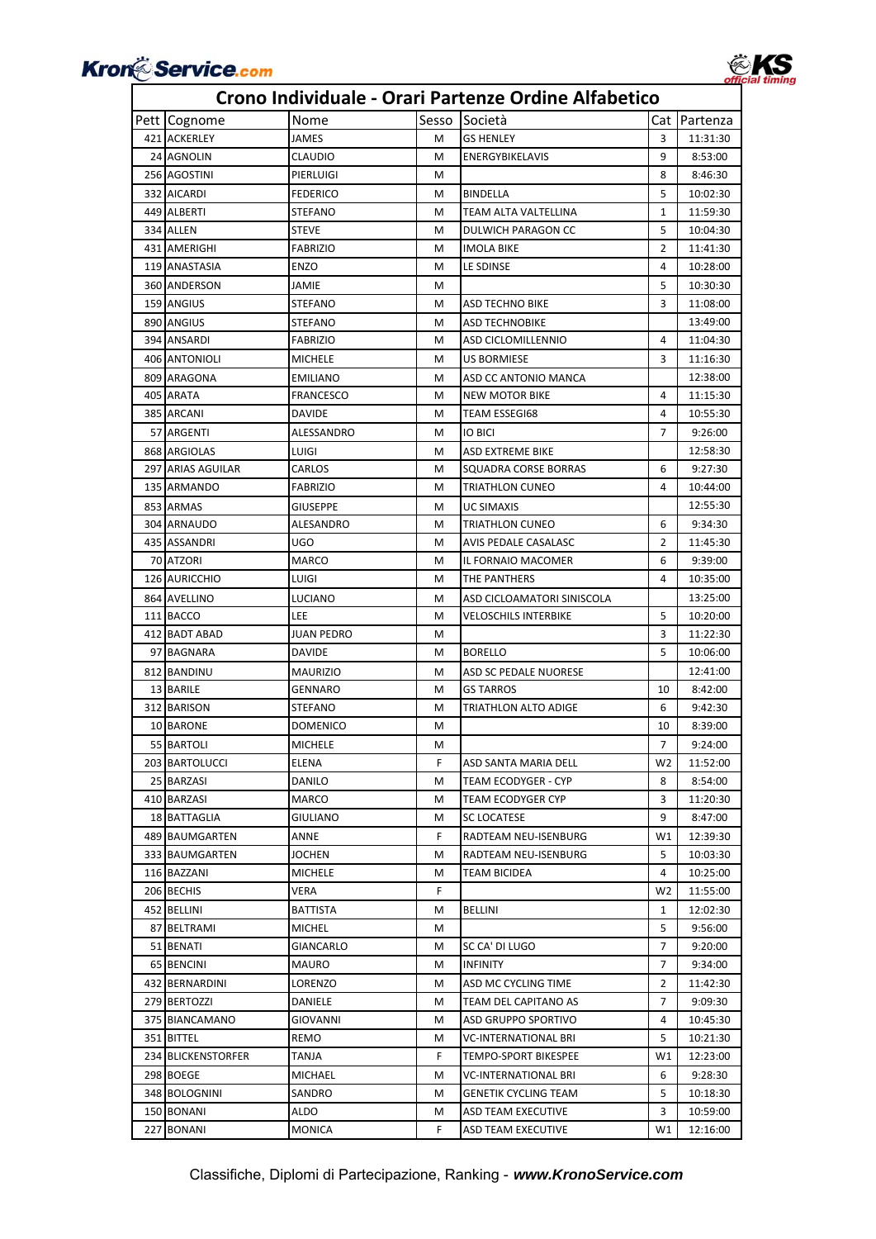

| Pett Cognome       | Nome              | Sesso | Società                     |                | Cat Partenza |
|--------------------|-------------------|-------|-----------------------------|----------------|--------------|
| 421 ACKERLEY       | JAMES             | м     | <b>GS HENLEY</b>            | 3              | 11:31:30     |
| 24 AGNOLIN         | <b>CLAUDIO</b>    | M     | ENERGYBIKELAVIS             | 9              | 8:53:00      |
| 256 AGOSTINI       | PIERLUIGI         | м     |                             | 8              | 8:46:30      |
| 332 AICARDI        | <b>FEDERICO</b>   | м     | <b>BINDELLA</b>             | 5              | 10:02:30     |
| 449 ALBERTI        | <b>STEFANO</b>    | M     | TEAM ALTA VALTELLINA        | 1              | 11:59:30     |
| 334 ALLEN          | <b>STEVE</b>      | м     | DULWICH PARAGON CC          | 5              | 10:04:30     |
| 431 AMERIGHI       | <b>FABRIZIO</b>   | м     | <b>IMOLA BIKE</b>           | $\overline{2}$ | 11:41:30     |
| 119 ANASTASIA      | ENZO              | M     | LE SDINSE                   | 4              | 10:28:00     |
| 360 ANDERSON       | JAMIE             | м     |                             | 5              | 10:30:30     |
| 159 ANGIUS         | <b>STEFANO</b>    | м     | ASD TECHNO BIKE             | 3              | 11:08:00     |
| 890 ANGIUS         | <b>STEFANO</b>    | м     | <b>ASD TECHNOBIKE</b>       |                | 13:49:00     |
| 394 ANSARDI        | <b>FABRIZIO</b>   | M     | ASD CICLOMILLENNIO          | 4              | 11:04:30     |
| 406 ANTONIOLI      | <b>MICHELE</b>    | м     | <b>US BORMIESE</b>          | 3              | 11:16:30     |
| 809 ARAGONA        | <b>EMILIANO</b>   | м     | ASD CC ANTONIO MANCA        |                | 12:38:00     |
| 405 ARATA          | <b>FRANCESCO</b>  | м     | <b>NEW MOTOR BIKE</b>       | 4              | 11:15:30     |
| 385 ARCANI         | DAVIDE            | м     | <b>TEAM ESSEGI68</b>        | 4              | 10:55:30     |
| 57 ARGENTI         | ALESSANDRO        | м     | <b>IO BICI</b>              | 7              | 9:26:00      |
| 868 ARGIOLAS       | LUIGI             | м     | ASD EXTREME BIKE            |                | 12:58:30     |
| 297 ARIAS AGUILAR  | CARLOS            | м     | SQUADRA CORSE BORRAS        | 6              | 9:27:30      |
| 135 ARMANDO        | FABRIZIO          | M     | TRIATHLON CUNEO             | 4              | 10:44:00     |
| 853 ARMAS          | <b>GIUSEPPE</b>   | M     | <b>UC SIMAXIS</b>           |                | 12:55:30     |
| 304 ARNAUDO        | ALESANDRO         | м     | <b>TRIATHLON CUNEO</b>      | 6              | 9:34:30      |
| 435 ASSANDRI       | UGO               | м     | AVIS PEDALE CASALASC        | 2              | 11:45:30     |
| 70 ATZORI          | <b>MARCO</b>      | м     | IL FORNAIO MACOMER          | 6              | 9:39:00      |
| 126 AURICCHIO      | LUIGI             | м     | THE PANTHERS                | 4              | 10:35:00     |
| 864 AVELLINO       | LUCIANO           | м     | ASD CICLOAMATORI SINISCOLA  |                | 13:25:00     |
| 111 BACCO          | LEE               | м     | VELOSCHILS INTERBIKE        | 5              | 10:20:00     |
| 412 BADT ABAD      | <b>JUAN PEDRO</b> | м     |                             | 3              | 11:22:30     |
| 97 BAGNARA         | DAVIDE            | м     | <b>BORELLO</b>              | 5              | 10:06:00     |
| 812 BANDINU        | <b>MAURIZIO</b>   | м     | ASD SC PEDALE NUORESE       |                | 12:41:00     |
| 13 BARILE          | GENNARO           | м     | <b>GS TARROS</b>            | 10             | 8:42:00      |
| 312 BARISON        | STEFANO           | м     | TRIATHLON ALTO ADIGE        | 6              | 9:42:30      |
| 10 BARONE          | <b>DOMENICO</b>   | м     |                             | 10             | 8:39:00      |
| 55 BARTOLI         | <b>MICHELE</b>    | м     |                             | $\overline{7}$ | 9:24:00      |
| 203 BARTOLUCCI     | <b>ELENA</b>      | F.    | ASD SANTA MARIA DELL        | W <sub>2</sub> | 11:52:00     |
| 25 BARZASI         | DANILO            | м     | TEAM ECODYGER - CYP         | 8              | 8:54:00      |
| 410 BARZASI        | MARCO             | м     | TEAM ECODYGER CYP           | 3              | 11:20:30     |
| 18 BATTAGLIA       | GIULIANO          | м     | SC LOCATESE                 | 9              | 8:47:00      |
| 489 BAUMGARTEN     | ANNE              | F.    | RADTEAM NEU-ISENBURG        | W1             | 12:39:30     |
| 333 BAUMGARTEN     | JOCHEN            | м     | RADTEAM NEU-ISENBURG        | 5              | 10:03:30     |
| 116 BAZZANI        | <b>MICHELE</b>    | м     | TEAM BICIDEA                | 4              | 10:25:00     |
| 206 BECHIS         | VERA              | F.    |                             | W2             | 11:55:00     |
| 452 BELLINI        | BATTISTA          | м     | <b>BELLINI</b>              | 1              | 12:02:30     |
| 87 BELTRAMI        | MICHEL            | м     |                             | 5              | 9:56:00      |
| 51 BENATI          | GIANCARLO         | м     | SC CA' DI LUGO              | 7              | 9:20:00      |
| 65 BENCINI         | MAURO             | м     | <b>INFINITY</b>             | 7              | 9:34:00      |
| 432 BERNARDINI     | LORENZO           | м     | ASD MC CYCLING TIME         | 2              | 11:42:30     |
| 279 BERTOZZI       | DANIELE           | м     | TEAM DEL CAPITANO AS        | 7              | 9:09:30      |
| 375 BIANCAMANO     | GIOVANNI          | м     | ASD GRUPPO SPORTIVO         | 4              | 10:45:30     |
| 351 BITTEL         | REMO              | м     | <b>VC-INTERNATIONAL BRI</b> | 5              | 10:21:30     |
| 234 BLICKENSTORFER | TANJA             | F.    | TEMPO-SPORT BIKESPEE        | W1             | 12:23:00     |
| 298 BOEGE          | MICHAEL           | M     | <b>VC-INTERNATIONAL BRI</b> | 6              | 9:28:30      |
| 348 BOLOGNINI      | SANDRO            | м     | <b>GENETIK CYCLING TEAM</b> | 5              | 10:18:30     |
| 150 BONANI         | ALDO              | м     | ASD TEAM EXECUTIVE          | 3              | 10:59:00     |
| 227 BONANI         | MONICA            | F     | ASD TEAM EXECUTIVE          | W1             | 12:16:00     |
|                    |                   |       |                             |                |              |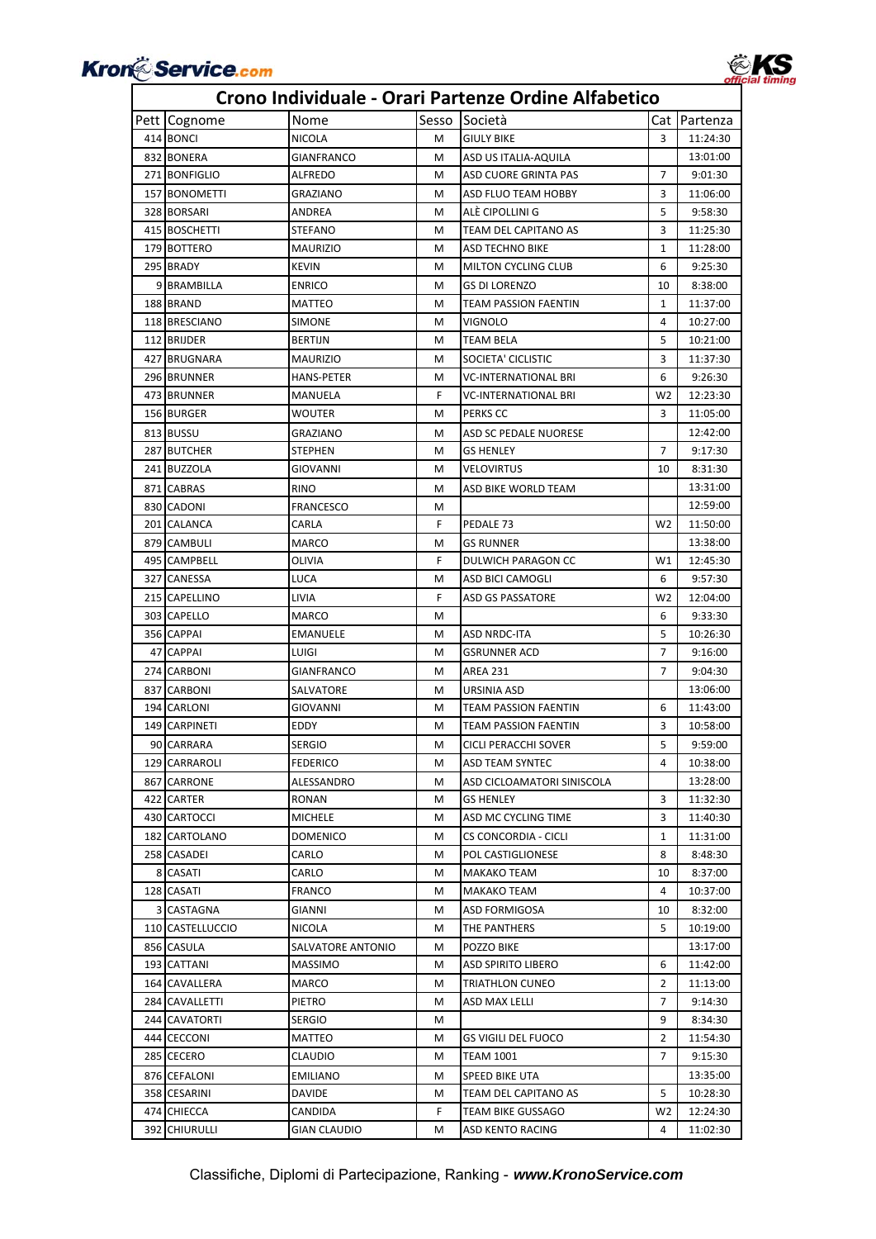

### Pett Cognome Nome Sesso Società Cat Partenza 414 BONCI NICOLA M GIULY BIKE 3 11:24:30 832 BONERA GIANFRANCO M ASD US ITALIA‐AQUILA I 13:01:00 271 BONFIGLIO ALFREDO M ASD CUORE GRINTA PAS 7 9:01:30 157 BONOMETTI GRAZIANO M ASD FLUO TEAM HOBBY 3 11:06:00 328 BORSARI ANDREA M ALÈ CIPOLLINI G 5 9:58:30 415 BOSCHETTI STEFANO M TEAM DEL CAPITANO AS 3 11:25:30 179 BOTTERO MAURIZIO M ASD TECHNO BIKE 1 11:28:00 295 BRADY KEVIN KEVIN MILTON CYCLING CLUB 6 9:25:30 9 BRAMBILLA ENRICO M GS DI LORENZO 10 8:38:00 188 BRAND MATTEO M TEAM PASSION FAENTIN 11:37:00 118 BRESCIANO SIMONE M VIGNOLO 4 10:27:00 112 BRIJDER BERTIJN M TEAM BELA 5 10:21:00 427 BRUGNARA MAURIZIO M SOCIETA' CICLISTIC 3 11:37:30 296 BRUNNER HANS-PETER M VC-INTERNATIONAL BRI 6 9:26:30 473 BRUNNER MANUELA F VC‐INTERNATIONAL BRI W2 12:23:30 156 BURGER WOUTER MPERKS CC 3 11:05:00 813 BUSSU GRAZIANO M ASD SC PEDALE NUORESE 12:42:00 287 BUTCHER STEPHEN M GS HENLEY 7 9:17:30 241 BUZZOLA GIOVANNI M VELOVIRTUS 10 8:31:30 871 CABRAS RINO RINO M ASD BIKE WORLD TEAM 13:31:00 830 CADONI | FRANCESCO | M | 12:59:00 201 CALANCA CARLA F PEDALE 73 W2 11:50:00 879 CAMBULI MARCO MARCO M GS RUNNER 13:38:00 495 CAMPBELL **OLIVIA F** DULWICH PARAGON CC W1 12:45:30 327 CANESSA LUCA NO MASD BICI CAMOGLI 6 | 9:57:30 215 CAPELLINO LIVIA LIVIA F ASD GS PASSATORE W2 12:04:00 303 CAPELLO MARCO M 6 9:33:30 356 CAPPAI EMANUELE M ASD NRDC-ITA 5 10:26:30 47 CAPPAI LUIGI M GSRUNNER ACD 7 9:16:00 274 CARBONI GIANFRANCO M AREA 231 7 9:04:30 837 CARBONI SALVATORE M URSINIA ASD 13:06:00 194 CARLONI GIOVANNI M TEAM PASSION FAENTIN 6 11:43:00 149 CARPINETI EDDY M TEAM PASSION FAENTIN 3 10:58:00 90 CARRARA SERGIO M CICLI PERACCHI SOVER 5 9:59:00 129 CARRAROLI FEDERICO M ASD TEAM SYNTEC 4 10:38:00 867 CARRONE ALESSANDRO M ASD CICLOAMATORI SINISCOLA 13:28:00 422 CARTER RONAN M GS HENLEY 3 11:32:30 430 CARTOCCI MICHELE M ASD MC CYCLING TIME 3 11:40:30 182 CARTOLANO DOMENICO M CS CONCORDIA - CICLI 1 11:31:00 258 CASADEI CARLO MPOL CASTIGLIONESE 8 8:48:30 8 CASATI CARLO M MAKAKO TEAM 10 8:37:00 128 CASATI FRANCO M MAKAKO TEAM 4 10:37:00 3 CASTAGNA GIANNI GIANNI MASD FORMIGOSA 10 8:32:00 110 CASTELLUCCIO NICOLA M THE PANTHERS 5 10:19:00 856 CASULA SALVATORE ANTONIO M POZZO BIKE 13:17:00 193 CATTANI MASSIMO M ASD SPIRITO LIBERO 6 11:42:00 164 CAVALLERA MARCO M TRIATHLON CUNEO 2 11:13:00 284 CAVALLETTI PIETRO NU NASD MAX LELLI 19:14:30 244 CAVATORTI SERGIO M 9 8:34:30 444 CECCONI MATTEO M GS VIGILI DEL FUOCO 2 11:54:30 285 CECERO CLAUDIO M TEAM 1001 7 9:15:30 876 CEFALONI EMILIANO M SPEED BIKE UTA 13:35:00 358 CESARINI DAVIDE M TEAM DEL CAPITANO AS 5 10:28:30 474 CHIECCA CANDIDA CANDIDA F TEAM BIKE GUSSAGO W2 12:24:30

#### **Crono Individuale ‐ Orari Partenze Ordine Alfabetico**

392 CHIURULLI GIAN CLAUDIO M ASD KENTO RACING 4 11:02:30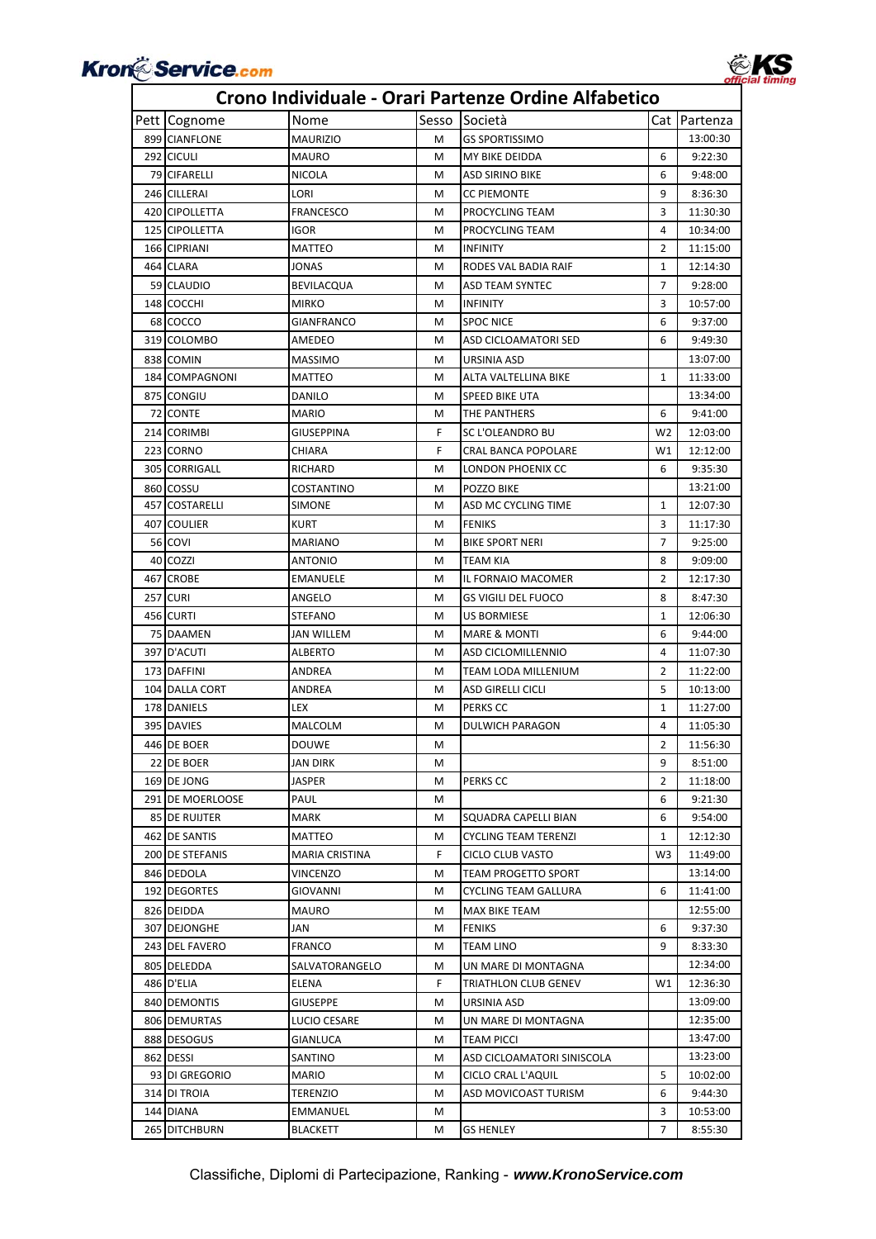

### Pett Cognome Nome Sesso Società Cat Partenza **Crono Individuale ‐ Orari Partenze Ordine Alfabetico** 899 CIANFLONE MAURIZIO M GS SPORTISSIMO 13:00:30 292 CICULI MAURO MAURO M MY BIKE DEIDDA 6 9:22:30 79 CIFARELLI NICOLA M ASD SIRINO BIKE 6 9:48:00 246 CILLERAI LORI M CC PIEMONTE 9 8:36:30 420 CIPOLLETTA FRANCESCO M PROCYCLING TEAM 3 11:30:30 125 CIPOLLETTA IGOR IGOR MPROCYCLING TEAM 4 10:34:00 166 CIPRIANI MATTEO M INFINITY 2 11:15:00 464 CLARA JONAS M RODES VAL BADIA RAIF 1 1 12:14:30 59 CLAUDIO BEVILACQUA MASD TEAM SYNTEC 7 9:28:00 148 COCCHI MIRKO MIRKO MILINFINITY 1996 MIRKO MILINFINITY NUMBER 2016 68 COCCO GIANFRANCO M SPOC NICE 6 9:37:00 319 COLOMBO AMEDEO M ASD CICLOAMATORI SED 6 9:49:30 838 COMIN MASSIMO MISSIMO MGA URSINIA ASD 13:07:00 184 COMPAGNONI MATTEO M ALTA VALTELLINA BIKE 1 11:33:00 875 CONGIU DANILO M SPEED BIKE UTA 13:34:00 72 CONTE MARIO MARIO METHE PANTHERS 6 9:41:00 214 CORIMBI GIUSEPPINA F SC L'OLEANDRO BU W2 12:03:00 223 CORNO CHIARA F CRAL BANCA POPOLARE W1 12:12:00 305 CORRIGALL RICHARD NICHARD M LONDON PHOENIX CC 6 9:35:30 860 COSSU COSTANTINO M POZZO BIKE 13:21:00 457 COSTARELLI SIMONE M ASD MC CYCLING TIME 1 12:07:30 407 COULIER KURT M FENIKS 3 11:17:30 56 COVI MARIANO M BIKE SPORT NERI 7 9:25:00 40 COZZI ANTONIO M TEAM KIA 8 9:09:00 467 CROBE EMANUELE M IL FORNAIO MACOMER 2 12:17:30 257 CURI ANGELO M GS VIGILI DEL FUOCO 8 8:47:30 456 CURTI STEFANO M US BORMIESE 1 12:06:30 75 DAAMEN JAN WILLEM M MARE & MONTI 6 9:44:00 397 D'ACUTI ALBERTO M ASD CICLOMILLENNIO 4 11:07:30 173 DAFFINI ANDREA M TEAM LODA MILLENIUM 2 11:22:00 104 DALLA CORT ANDREA M ASD GIRELLI CICLI 5 10:13:00 178 DANIELS LEX NOTICLES LEX METRIC DATA RESERVE LATER 11:27:00 395 DAVIES MALCOLM M DULWICH PARAGON 4 11:05:30 446 DE BOER DOUWE M 2 11:56:30 22 DE BOER JAN DIRK M 9 8:51:00 169 DE JONG JASPER MILLER MILLER MILLER MILLER DE LA PERKS CC NOTE 2 | 11:18:00 291 DE MOERLOOSE PAUL N M M 6 9:21:30 85 DE RUIJTER MARK MARK M SQUADRA CAPELLI BIAN 6 9:54:00 462 DE SANTIS MATTEO METREM MATTEO METREM METRENZI 1 1 12:12:30 200 DE STEFANIS MARIA CRISTINA F CICLO CLUB VASTO W3 11:49:00 846 DEDOLA VINCENZO M TEAM PROGETTO SPORT 13:14:00 192 DEGORTES GIOVANNI M CYCLING TEAM GALLURA 6 11:41:00 826 DEIDDA MAURO M MAX BIKE TEAM 12:55:00 307 DEJONGHE JJAN JAN MFENIKS 6 9:37:30 243 DEL FAVERO FRANCO M TEAM LINO 9 8:33:30 805 DELEDDA SALVATORANGELO M UN MARE DI MONTAGNA 12:34:00 486 D'ELIA ELENA ELENA F TRIATHLON CLUB GENEV W1 12:36:30 840 DEMONTIS GIUSEPPE M URSINIA ASD 13:09:00 806 DEMURTAS LUCIO CESARE M UN MARE DI MONTAGNA 12:35:00 888 DESOGUS GIANLUCA M TEAM PICCI 13:47:00 862 DESSI SANTINO M ASD CICLOAMATORI SINISCOLA 13:23:00 93 DI GREGORIO MARIO M CICLO CRAL L'AQUIL 5 10:02:00 314 DI TROIA TERENZIO MARCHARD MOVICOAST TURISM 6 9:44:30 144 DIANA EMMANUEL M 3 10:53:00 265 DITCHBURN BLACKETT N GS HENLEY 7 8:55:30

### Classifiche, Diplomi di Partecipazione, Ranking - *www.KronoService.com*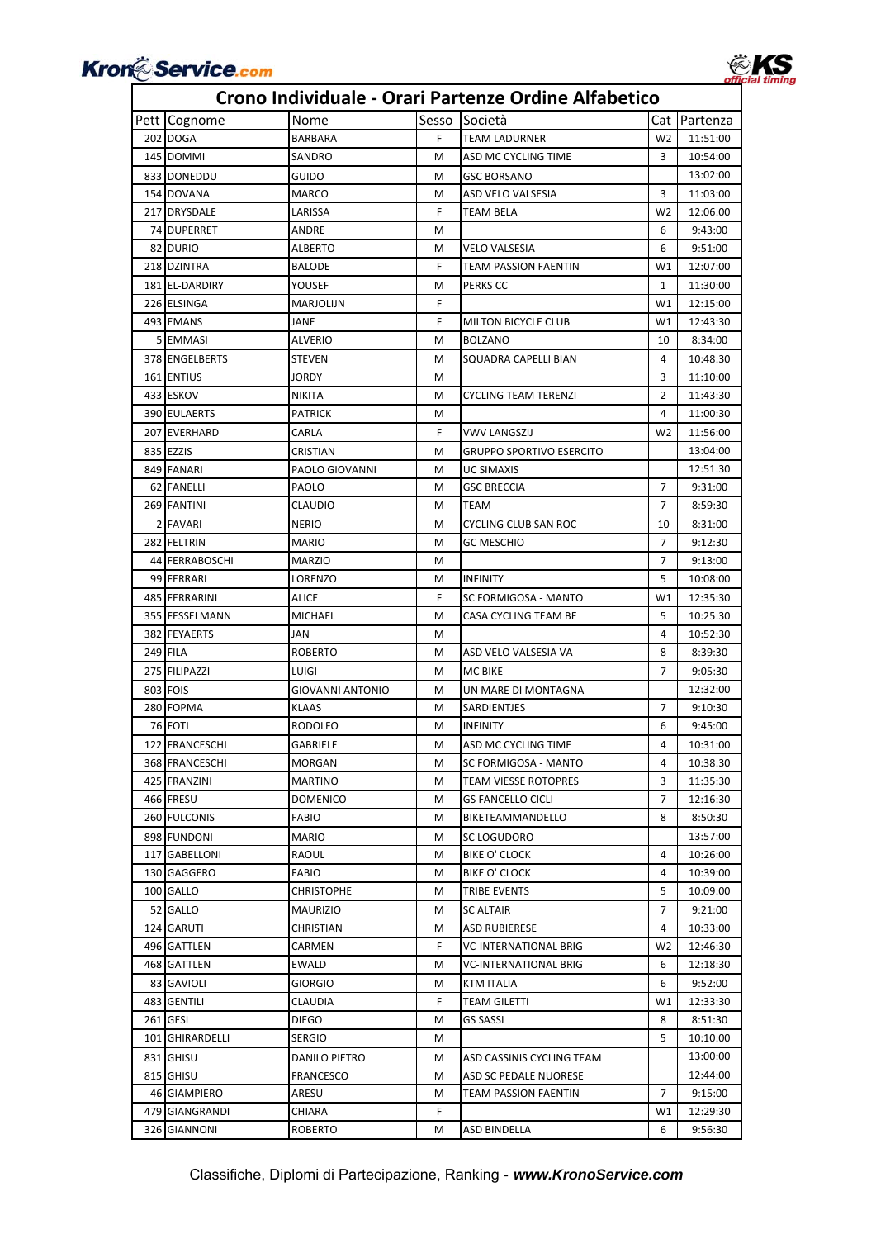| Crono individuale - Orari Partenze Ordine Alfabetico |                 |                         |       |                                 |                |          |  |  |
|------------------------------------------------------|-----------------|-------------------------|-------|---------------------------------|----------------|----------|--|--|
|                                                      | Pett Cognome    | Nome                    | Sesso | Società                         | Cat            | Partenza |  |  |
|                                                      | 202 DOGA        | BARBARA                 | F.    | <b>TEAM LADURNER</b>            | W <sub>2</sub> | 11:51:00 |  |  |
|                                                      | 145 DOMMI       | SANDRO                  | м     | ASD MC CYCLING TIME             | 3              | 10:54:00 |  |  |
|                                                      | 833 DONEDDU     | GUIDO                   | м     | GSC BORSANO                     |                | 13:02:00 |  |  |
|                                                      | 154 DOVANA      | MARCO                   | м     | ASD VELO VALSESIA               | 3              | 11:03:00 |  |  |
|                                                      | 217 DRYSDALE    | LARISSA                 | F     | TEAM BELA                       | W <sub>2</sub> | 12:06:00 |  |  |
|                                                      | 74 DUPERRET     | ANDRE                   | м     |                                 | 6              | 9:43:00  |  |  |
|                                                      | 82 DURIO        | ALBERTO                 | м     | <b>VELO VALSESIA</b>            | 6              | 9:51:00  |  |  |
|                                                      | 218 DZINTRA     | <b>BALODE</b>           | F     | TEAM PASSION FAENTIN            | W1             | 12:07:00 |  |  |
|                                                      | 181 EL-DARDIRY  | YOUSEF                  | м     | PERKS CC                        | 1              | 11:30:00 |  |  |
|                                                      | 226 ELSINGA     | MARJOLIJN               | F     |                                 | W1             | 12:15:00 |  |  |
|                                                      | 493 EMANS       | JANE                    | F     | <b>MILTON BICYCLE CLUB</b>      | W1             | 12:43:30 |  |  |
|                                                      | 5 EMMASI        | <b>ALVERIO</b>          | м     | <b>BOLZANO</b>                  | 10             | 8:34:00  |  |  |
|                                                      | 378 ENGELBERTS  | STEVEN                  | м     | SQUADRA CAPELLI BIAN            | 4              | 10:48:30 |  |  |
|                                                      | 161 ENTIUS      | JORDY                   | м     |                                 | 3              | 11:10:00 |  |  |
|                                                      | 433 ESKOV       | NIKITA                  | м     | CYCLING TEAM TERENZI            | $\overline{2}$ | 11:43:30 |  |  |
|                                                      | 390 EULAERTS    | PATRICK                 | м     |                                 | 4              | 11:00:30 |  |  |
|                                                      | 207 EVERHARD    | CARLA                   | F     | <b>VWV LANGSZIJ</b>             | W <sub>2</sub> | 11:56:00 |  |  |
|                                                      | 835 EZZIS       | CRISTIAN                | м     | <b>GRUPPO SPORTIVO ESERCITO</b> |                | 13:04:00 |  |  |
|                                                      | 849 FANARI      | PAOLO GIOVANNI          | м     | <b>UC SIMAXIS</b>               |                | 12:51:30 |  |  |
|                                                      | 62 FANELLI      | PAOLO                   | м     | <b>GSC BRECCIA</b>              | $\overline{7}$ | 9:31:00  |  |  |
|                                                      | 269 FANTINI     | CLAUDIO                 | м     | TEAM                            | $\overline{7}$ | 8:59:30  |  |  |
|                                                      | 2 FAVARI        | <b>NERIO</b>            | м     | CYCLING CLUB SAN ROC            | 10             | 8:31:00  |  |  |
|                                                      | 282 FELTRIN     | <b>MARIO</b>            | м     | <b>GC MESCHIO</b>               | 7              | 9:12:30  |  |  |
|                                                      | 44 FERRABOSCHI  | <b>MARZIO</b>           | м     |                                 | $\overline{7}$ | 9:13:00  |  |  |
|                                                      | 99 FERRARI      | LORENZO                 | м     | <b>INFINITY</b>                 | 5              | 10:08:00 |  |  |
|                                                      | 485 FERRARINI   | ALICE                   | F.    | SC FORMIGOSA - MANTO            | W1             | 12:35:30 |  |  |
|                                                      | 355 FESSELMANN  | MICHAEL                 | м     | CASA CYCLING TEAM BE            | 5              | 10:25:30 |  |  |
|                                                      | 382 FEYAERTS    | JAN                     | м     |                                 | 4              | 10:52:30 |  |  |
|                                                      | 249 FILA        | <b>ROBERTO</b>          | м     | ASD VELO VALSESIA VA            | 8              | 8:39:30  |  |  |
|                                                      | 275 FILIPAZZI   | LUIGI                   | м     | <b>MC BIKE</b>                  | 7              | 9:05:30  |  |  |
|                                                      | 803 FOIS        | <b>GIOVANNI ANTONIO</b> | м     | UN MARE DI MONTAGNA             |                | 12:32:00 |  |  |
|                                                      | 280 FOPMA       | KLAAS                   | м     | SARDIENTJES                     | 7              | 9:10:30  |  |  |
|                                                      | 76 FOTI         | <b>RODOLFO</b>          | м     | <b>INFINITY</b>                 | 6              | 9:45:00  |  |  |
|                                                      | 122 FRANCESCHI  | GABRIELE                | м     | ASD MC CYCLING TIME             | 4              | 10:31:00 |  |  |
|                                                      | 368 FRANCESCHI  | MORGAN                  | м     | SC FORMIGOSA - MANTO            | 4              | 10:38:30 |  |  |
|                                                      | 425 FRANZINI    | <b>MARTINO</b>          | M     | <b>TEAM VIESSE ROTOPRES</b>     | 3              | 11:35:30 |  |  |
|                                                      | 466 FRESU       | <b>DOMENICO</b>         | м     | <b>GS FANCELLO CICLI</b>        | 7              | 12:16:30 |  |  |
|                                                      | 260 FULCONIS    | <b>FABIO</b>            | М     | BIKETEAMMANDELLO                | 8              | 8:50:30  |  |  |
|                                                      | 898 FUNDONI     | MARIO                   | м     | SC LOGUDORO                     |                | 13:57:00 |  |  |
|                                                      | 117 GABELLONI   | RAOUL                   | M     | <b>BIKE O' CLOCK</b>            | 4              | 10:26:00 |  |  |
|                                                      | 130 GAGGERO     | FABIO                   | м     | <b>BIKE O' CLOCK</b>            | 4              | 10:39:00 |  |  |
|                                                      | 100 GALLO       | <b>CHRISTOPHE</b>       | м     | TRIBE EVENTS                    | 5              | 10:09:00 |  |  |
|                                                      | 52 GALLO        | MAURIZIO                | м     | SC ALTAIR                       | $\overline{7}$ | 9:21:00  |  |  |
|                                                      | 124 GARUTI      | CHRISTIAN               | м     | ASD RUBIERESE                   | 4              | 10:33:00 |  |  |
|                                                      | 496 GATTLEN     | CARMEN                  | F     | VC-INTERNATIONAL BRIG           | W <sub>2</sub> | 12:46:30 |  |  |
|                                                      | 468 GATTLEN     | <b>EWALD</b>            | м     | VC-INTERNATIONAL BRIG           | 6              | 12:18:30 |  |  |
|                                                      | 83 GAVIOLI      | GIORGIO                 | м     | KTM ITALIA                      | 6              | 9:52:00  |  |  |
|                                                      | 483 GENTILI     | CLAUDIA                 | F     | <b>TEAM GILETTI</b>             | W1             | 12:33:30 |  |  |
|                                                      | 261 GESI        | <b>DIEGO</b>            | м     | <b>GS SASSI</b>                 | 8              | 8:51:30  |  |  |
|                                                      | 101 GHIRARDELLI | <b>SERGIO</b>           | м     |                                 | 5              | 10:10:00 |  |  |
|                                                      | 831 GHISU       | DANILO PIETRO           | м     | ASD CASSINIS CYCLING TEAM       |                | 13:00:00 |  |  |
|                                                      | 815 GHISU       | FRANCESCO               | м     | ASD SC PEDALE NUORESE           |                | 12:44:00 |  |  |
|                                                      | 46 GIAMPIERO    | ARESU                   | м     | TEAM PASSION FAENTIN            | $\overline{7}$ | 9:15:00  |  |  |
|                                                      | 479 GIANGRANDI  | CHIARA                  | F.    |                                 | W1             | 12:29:30 |  |  |
|                                                      | 326 GIANNONI    | ROBERTO                 | м     | ASD BINDELLA                    | 6              | 9:56:30  |  |  |

# **Kron<sup>&</sup> Service.com**<br>Crono Individuale - Orari Partenze Ordine Alfabetico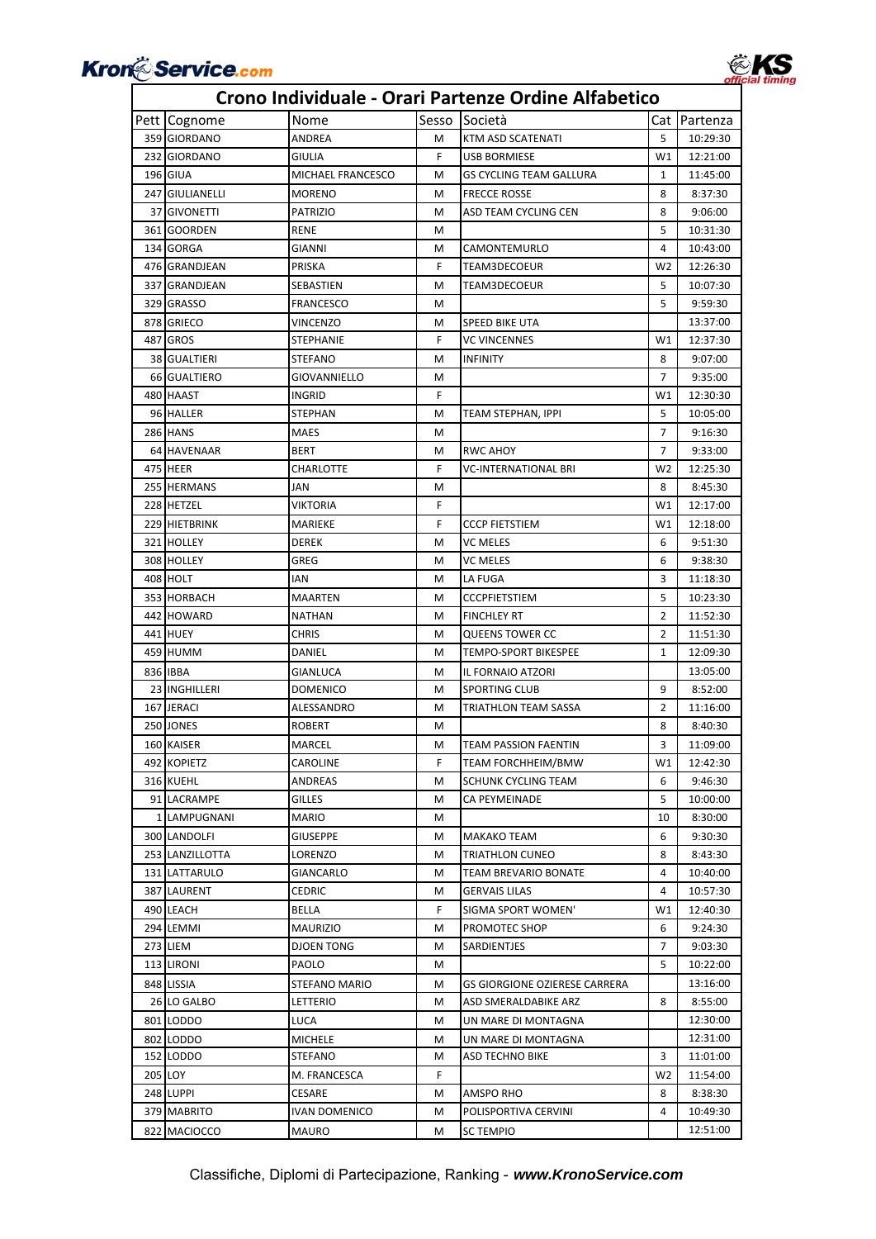

### Pett Cognome Nome Sesso Società Cat Partenza 359 GIORDANO ANDREA M KTM ASD SCATENATI 5 10:29:30 232 GIORDANO GIULIA F USB BORMIESE W1 12:21:00 196 GIUA MICHAEL FRANCESCO M GS CYCLING TEAM GALLURA 1 11:45:00 247 GIULIANELLI MORENO MORENO MERECCE ROSSE 8:37:30 37 GIVONETTI PATRIZIO M ASD TEAM CYCLING CEN 8 9:06:00 361 GOORDEN RENE M M M SOLO 231:30 134 GORGA GIANNI GIANNI M CAMONTEMURLO 4 10:43:00 476 GRANDJEAN PRISKA F TEAM3DECOEUR W2 12:26:30 337 GRANDJEAN SEBASTIEN M TEAM3DECOEUR 5 10:07:30 329 GRASSO FRANCESCO M 5 9:59:30 878 GRIECO VINCENZO M SPEED BIKE UTA 13:37:00 487 GROS STEPHANIE F VC VINCENNES W1 12:37:30 38 GUALTIERI STEFANO M INFINITY 8 9:07:00 66 GUALTIERO GIOVANNIELLO M 7 9:35:00 480 HAAST INGRID F W1 12:30:30 96 HALLER STEPHAN METEAM STEPHAN METEAM STEPHAN, IPPI 5 10:05:00 286 HANS MAES MAES M 9:16:30 64 HAVENAAR BERT M RWC AHOY 7 9:33:00 475 HEER CHARLOTTE F VC-INTERNATIONAL BRI W2 12:25:30 255 HERMANS JAN JAN M M M 8 8:45:30 228 HETZEL VIKTORIA F W1 12:17:00 229 HIETBRINK MARIEKE **F CCCP FIETSTIEM** W1 12:18:00 321 HOLLEY DEREK M VC MELES 6 9:51:30 308 HOLLEY GREG GREG M VC MELES 6 9:38:30 408 HOLT IAN M LA FUGA 3 11:18:30 353 HORBACH MAARTEN M CCCPFIETSTIEM 5 10:23:30 442 HOWARD NATHAN M FINCHLEY RT 2 11:52:30 441 HUEY CHRIS M QUEENS TOWER CC 2 11:51:30 459 HUMM DANIEL M TEMPO-SPORT BIKESPEE 1 12:09:30 836 IBBA GIANLUCA M IL FORNAIO ATZORI 13:05:00 23 INGHILLERI DOMENICO NELL' DI SPORTING CLUB 19 8:52:00 167 JERACI ALESSANDRO M TRIATHLON TEAM SASSA 2 11:16:00 250 JONES ROBERT M M 8 8:40:30 160 KAISER MARCEL M TEAM PASSION FAENTIN 3 11:09:00 492 KOPIETZ CAROLINE F TEAM FORCHHEIM/BMW W1 12:42:30 316 KUEHL ANDREAS M SCHUNK CYCLING TEAM 6 9:46:30 91 LACRAMPE GILLES M CA PEYMEINADE 5 10:00:00 1 LAMPUGNANI MARIO M 1 M 1 300 LANDOLFI GIUSEPPE | M MAKAKO TEAM | 6 9:30:30 253 LANZILLOTTA LORENZO | M TRIATHLON CUNEO 8 8:43:30 131 LATTARULO GIANCARLO M TEAM BREVARIO BONATE 4 10:40:00 387 LAURENT CEDRIC M GERVAIS LILAS 4 10:57:30 490 LEACH BELLA BELLA F SIGMA SPORT WOMEN' W1 12:40:30 294 LEMMI MAURIZIO MG PROMOTEC SHOP 6 9:24:30 273 LIEM DJOEN TONG M SARDIENTJES 7 9:03:30 113 LIRONI PAOLO M 5 10:22:00 848 LISSIA STEFANO MARIO MG GIORGIONE OZIERESE CARRERA 1 13:16:00 26 LO GALBO **LETTERIO M** ASD SMERALDABIKE ARZ 8:55:00 801 LODDO LUCA M UN MARE DI MONTAGNA 12:30:00 802 LODDO MICHELE M UN MARE DI MONTAGNA 12:31:00 152 LODDO STEFANO M ASD TECHNO BIKE 3 11:01:00 205 LOY M. FRANCESCA F W2 | 11:54:00 248 LUPPI CESARE M AMSPO RHO 8 8:38:30 379 MABRITO IVAN DOMENICO MORE POLISPORTIVA CERVINI 4 10:49:30 822 MACIOCCO MAURO MERCITEMPIO 12:51:00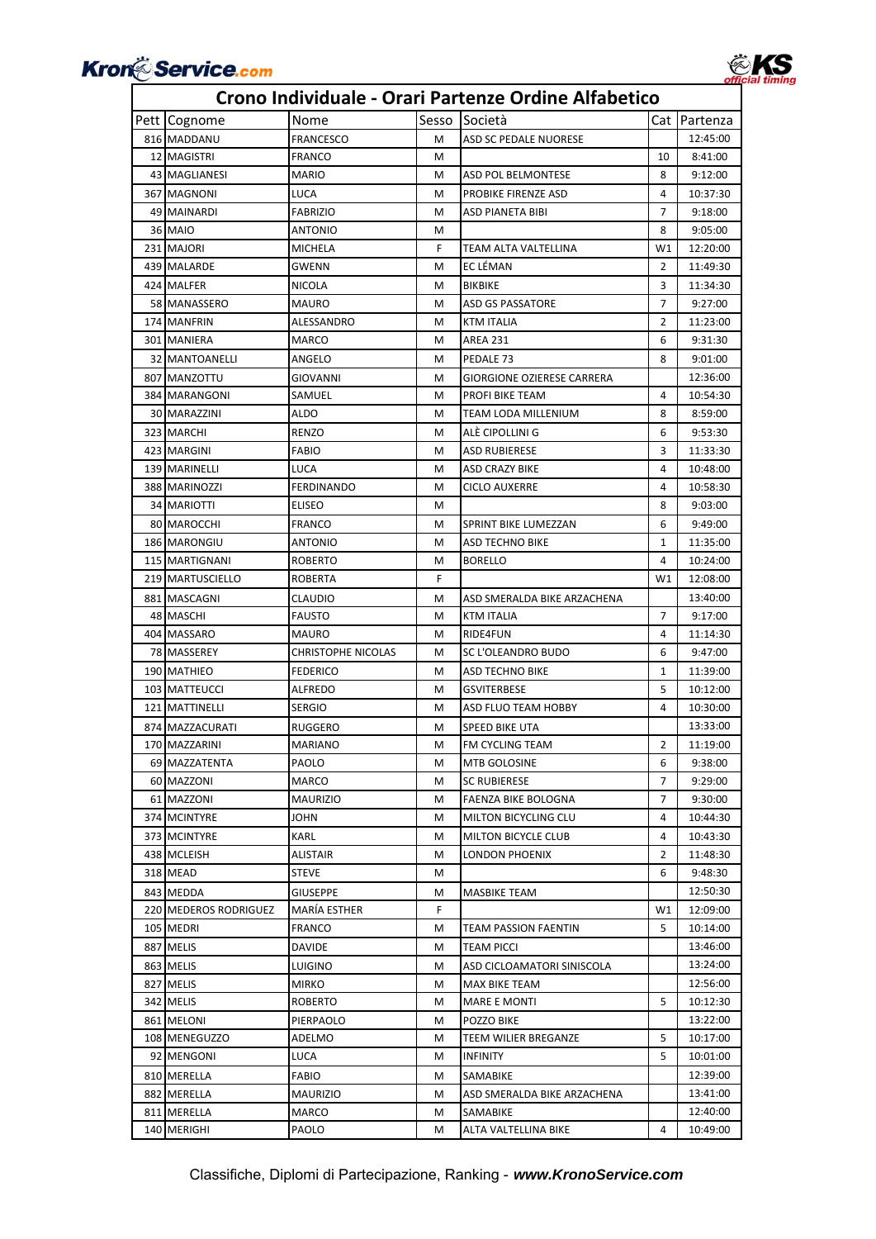

### Pett Cognome Nome Sesso Società Cat Partenza 816 MADDANU FRANCESCO M ASD SC PEDALE NUORESE 12:45:00 12 MAGISTRI FRANCO M 10 8:41:00 43 MAGLIANESI MARIO M ASD POL BELMONTESE 8 9:12:00 367 MAGNONI LUCA M PROBIKE FIRENZE ASD 4 10:37:30 49 MAINARDI FABRIZIO M ASD PIANETA BIBI 7 9:18:00 36 MAIO ANTONIO M 8 9:05:00 231 MAJORI MICHELA MICHELA F TEAM ALTA VALTELLINA W1 12:20:00 439 MALARDE GWENN M EC LÉMAN 2 11:49:30 424 MALFER NICOLA NICOLA MBIKBIKE 3 11:34:30 58 MANASSERO MAURO M ASD GS PASSATORE 7 9:27:00 174 MANFRIN ALESSANDRO MRTM ITALIA 2 11:23:00 301 MANIERA MARCO M AREA 231 6 9:31:30 32 MANTOANELLI ANGELO M PEDALE 73 8 9:01:00 807 MANZOTTU GIOVANNI M GIORGIONE OZIERESE CARRERA 12:36:00 384 MARANGONI SAMUEL M PROFI BIKE TEAM 4 10:54:30 30 MARAZZINI ALDO M TEAM LODA MILLENIUM 8 8:59:00 323 MARCHI RENZO M ALÈ CIPOLLINI G 6 9:53:30 423 MARGINI FABIO M ASD RUBIERESE 3 11:33:30 139 MARINELLI LUCA NASO CRAZY BIKE 4 10:48:00 388 MARINOZZI FERDINANDO M M CICLO AUXERRE 4 10:58:30 34 MARIOTTI ELISEO M 8 9:03:00 80 MAROCCHI FRANCO M SPRINT BIKE LUMEZZAN 6 9:49:00 186 MARONGIU ANTONIO M ASD TECHNO BIKE 1 11:35:00 115 MARTIGNANI ROBERTO M BORELLO 4 10:24:00 219 MARTUSCIELLO ROBERTA | F | W1 12:08:00 881 MASCAGNI CLAUDIO M ASD SMERALDA BIKE ARZACHENA 13:40:00 48 MASCHI FAUSTO M KTM ITALIA 7 9:17:00 404 MASSARO MAURO M RIDE4FUN 4 11:14:30 78 MASSEREY CHRISTOPHE NICOLAS M SC L'OLEANDRO BUDO 6 9:47:00 190 MATHIEO FEDERICO **M** ASD TECHNO BIKE 1 1 11:39:00 103 MATTEUCCI ALFREDO M GSVITERBESE 5 10:12:00 121 MATTINELLI SERGIO M ASD FLUO TEAM HOBBY 4 10:30:00 874 MAZZACURATI RUGGERO M SPEED BIKE UTA 13:33:00 170 MAZZARINI MARIANO M FM CYCLING TEAM 2 11:19:00 69 MAZZATENTA PAOLO M MTB GOLOSINE 6 9:38:00 60 MAZZONI MARCO M SC RUBIERESE 7 9:29:00 61 MAZZONI MAURIZIO M FAENZA BIKE BOLOGNA 7 9:30:00 374 MCINTYRE JOHN JOHN MILTON BICYCLING CLU 4 10:44:30 373 MCINTYRE KARL MILTON BICYCLE CLUB 4 10:43:30 438 MCLEISH ALISTAIR NUMBER ALISTAN MUNICIPALISM AND MUNICIPALISM MUNICIPALISM MUNICIPALISM MUNICIPALISM AND MU 318 MEAD STEVE M M 6 9:48:30 843 MEDDA GIUSEPPE M MASBIKE TEAM 12:50:30 220 MEDEROS RODRIGUEZ MARÍA ESTHER F F W1 12:09:00 105 MEDRI FRANCO M TEAM PASSION FAENTIN 5 10:14:00 887 MELIS DAVIDE M TEAM PICCI 13:46:00 863 MELIS LUIGINO M ASD CICLOAMATORI SINISCOLA 13:24:00 827 MELIS MIRKO MIRKO M MAX BIKE TEAM 12:56:00 342 MELIS ROBERTO M MARE E MONTI 5 10:12:30 861 MELONI PIERPAOLO M POZZO BIKE 13:22:00 108 MENEGUZZO ADELMO M TEEM WILIER BREGANZE 5 10:17:00 92 MENGONI LUCA M INFINITY 5 10:01:00 810 MERELLA FABIO M SAMABIKE 12:39:00 882 MERELLA MAURIZIO M ASD SMERALDA BIKE ARZACHENA 13:41:00 811 MERELLA MARCO M SAMABIKE 12:40:00 140 MERIGHI PAOLO M ALTA VALTELLINA BIKE 4 10:49:00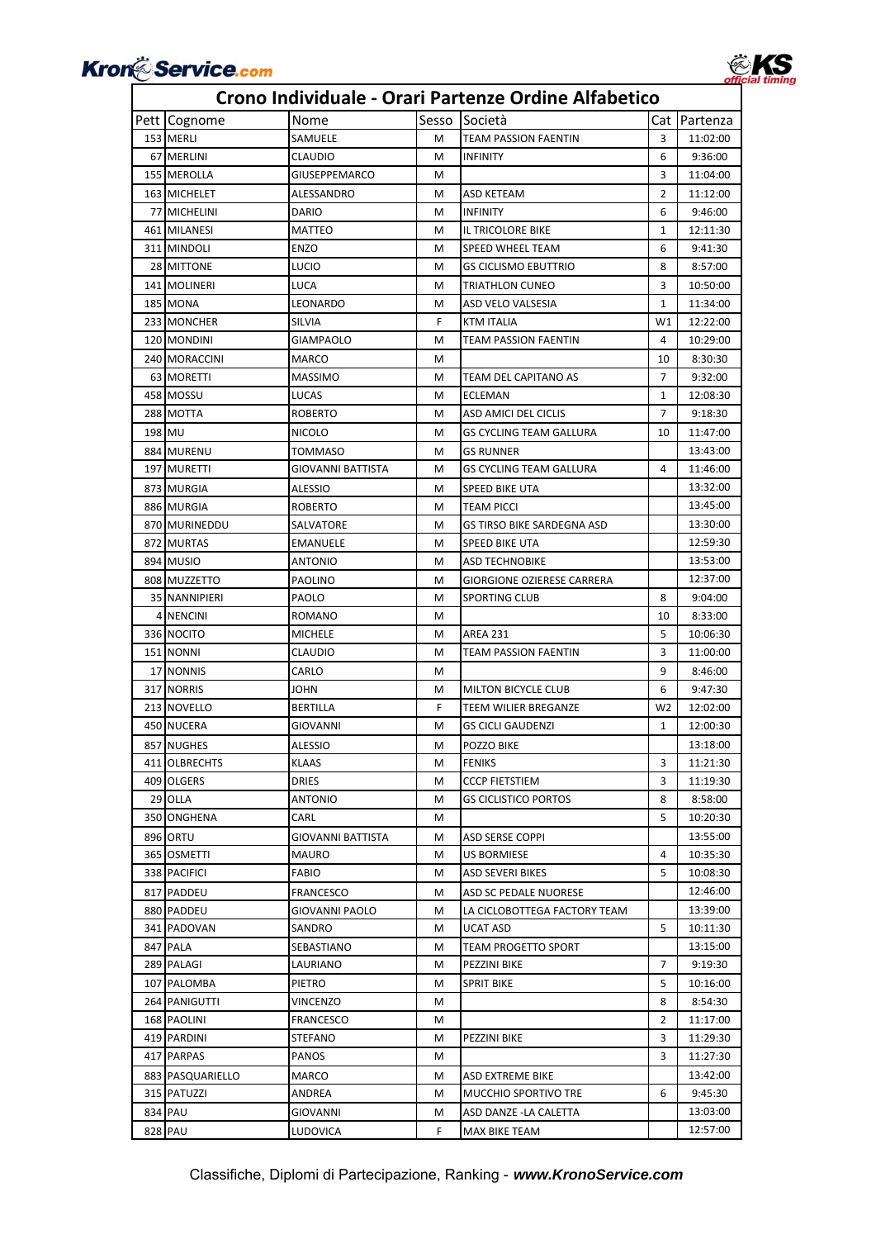

### Pett Cognome Nome Sesso Società Cat Partenza 153 MERLI SAMUELE M TEAM PASSION FAENTIN 3 11:02:00 67 MERLINI CLAUDIO M INFINITY 6 9:36:00 155 MEROLLA GIUSEPPEMARCO M 3 11:04:00 163 MICHELET ALESSANDRO MARIA ALESSANDRO MARIA ASD KETEAM ASO MICHELET 2 | 11:12:00 77 MICHELINI DARIO M INFINITY 6 9:46:00 461 MILANESI MATTEO M IL TRICOLORE BIKE 1 1 12:11:30 311 MINDOLI ENZO M SPEED WHEEL TEAM 6 9:41:30 28 MITTONE LUCIO M GS CICLISMO EBUTTRIO 8 8:57:00 141 MOLINERI LUCA M TRIATHLON CUNEO 3 10:50:00 185 MONA LEONARDO M ASD VELO VALSESIA 11:34:00 233 MONCHER SILVIA F KTM ITALIA NU 12:22:00 120 MONDINI GIAMPAOLO M TEAM PASSION FAENTIN 4 10:29:00 240 MORACCINI MARCO MARCO M 10 8:30:30 63 MORETTI MASSIMO M TEAM DEL CAPITANO AS 7 9:32:00 458 MOSSU LUCAS M ECLEMAN 1 12:08:30 288 MOTTA ROBERTO NELL'ALL' ROBERTO NELL'ALL' ANNIE DEL CICLIS NELL' 2 9:18:30 198 MU NICOLO M GS CYCLING TEAM GALLURA 10 11:47:00 884 MURENU TOMMASO M GS RUNNER 13:43:00 197 MURETTI GIOVANNI BATTISTA MGS CYCLING TEAM GALLURA 4 11:46:00 873 MURGIA ALESSIO M SPEED BIKE UTA 13:32:00 886 MURGIA ROBERTO M TEAM PICCI 13:45:00 870 MURINEDDU SALVATORE MICSTIRSO BIKE SARDEGNA ASD 13:30:00 872 MURTAS EMANUELE M SPEED BIKE UTA 12:59:30 894 MUSIO ANTONIO M ASD TECHNOBIKE 13:53:00 808 MUZZETTO PAOLINO M GIORGIONE OZIERESE CARRERA 12:37:00 35 NANNIPIERI PAOLO M SPORTING CLUB 8 9:04:00 4 NENCINI ROMANO M 10 8:33:00 336 NOCITO MICHELE M AREA 231 5 10:06:30 151 NONNI CLAUDIO M TEAM PASSION FAENTIN 3 11:00:00 17 NONNIS CARLO M M M 9 8:46:00 317 INORRIS JOHN **M** MILTON BICYCLE CLUB 6 9:47:30 213 NOVELLO BERTILLA F TEEM WILIER BREGANZE W2 12:02:00 450 NUCERA GIOVANNI M GS CICLI GAUDENZI 1 1 12:00:30 857 NUGHES ALESSIO M POZZO BIKE 13:18:00 411|OLBRECHTS | KLAAS | M FENIKS | 3 | 11:21:30 409 OLGERS DRIES M CCCP FIETSTIEM 3 11:19:30 29 OLLA ANTONIO M GS CICLISTICO PORTOS 8 8:58:00 350 ONGHENA CARL M 5 10:20:30 896 ORTU GIOVANNI BATTISTA MASD SERSE COPPI 13:55:00 365 OSMETTI MAURO M US BORMIESE 4 10:35:30 338 PACIFICI FABIO M ASD SEVERI BIKES 5 10:08:30 817 PADDEU FRANCESCO M ASD SC PEDALE NUORESE 12:46:00 880 PADDEU GIOVANNI PAOLO M LA CICLOBOTTEGA FACTORY TEAM 13:39:00 341 PADOVAN SANDRO M UCAT ASD 5 10:11:30 847 PALA SEBASTIANO M TEAM PROGETTO SPORT 13:15:00 289 PALAGI LAURIANO M PEZZINI BIKE 7 9:19:30 107 PALOMBA PIETRO M SPRIT BIKE 5 10:16:00 264 PANIGUTTI VINCENZO M 8 8:54:30 168 PAOLINI FRANCESCO M 2 11:17:00 419 PARDINI STEFANO M PEZZINI BIKE 3 11:29:30 417 PARPAS PANOS M 3 11:27:30 883 PASQUARIELLO MARCO M ASD EXTREME BIKE 13:42:00 315 PATUZZI ANDREA M MUCCHIO SPORTIVO TRE 6 9:45:30 834 PAU GIOVANNI M ASD DANZE -LA CALETTA 13:03:00 828 PAU LUDOVICA F MAX BIKE TEAM 12:57:00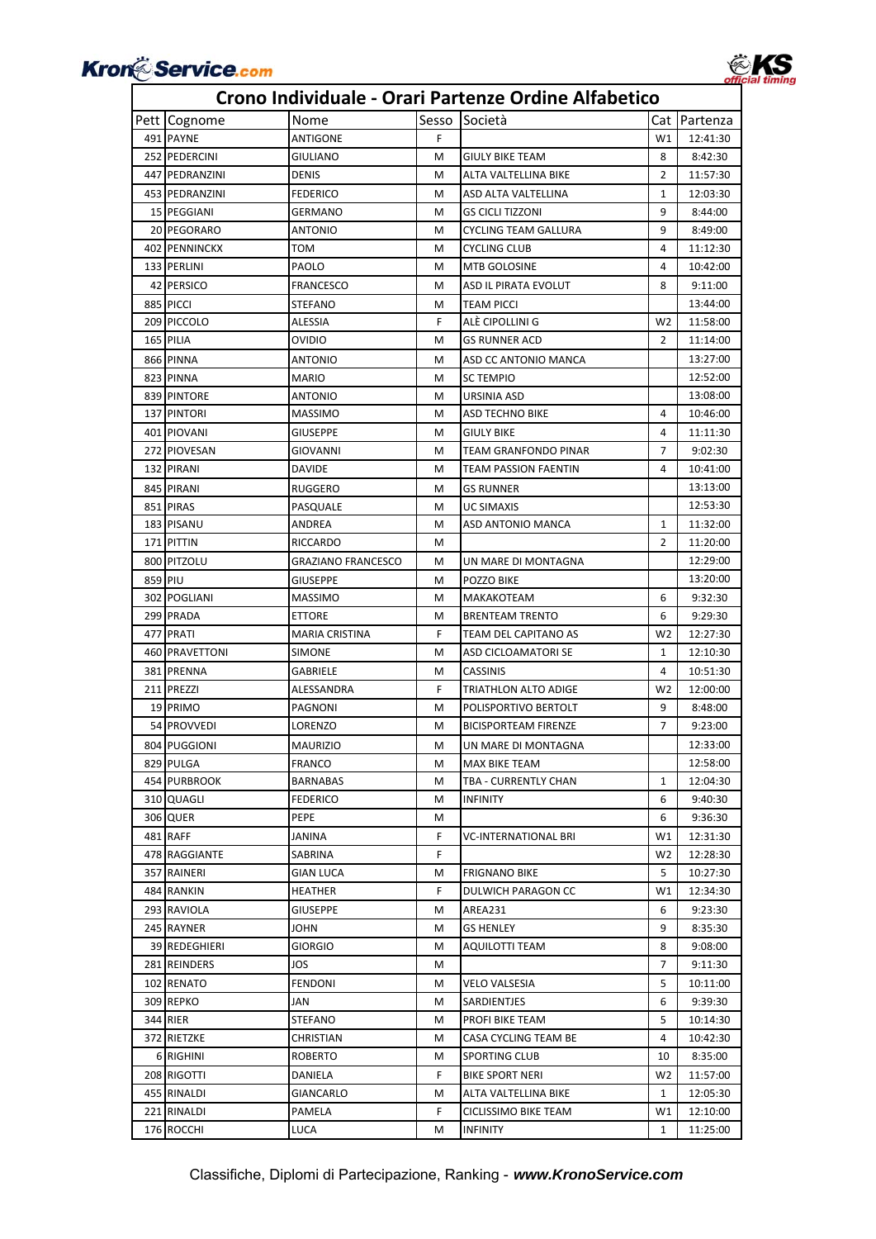

### Pett Cognome Nome Sesso Società Cat Partenza 491 PAYNE ANTIGONE F F W1 12:41:30 252 PEDERCINI GIULIANO M GIULY BIKE TEAM 8 8 8:42:30 447 PEDRANZINI DENIS M ALTA VALTELLINA BIKE 2 11:57:30 453 PEDRANZINI FEDERICO M ASD ALTA VALTELLINA 1 1 12:03:30 15 PEGGIANI GERMANO M GS CICLI TIZZONI 9 8:44:00 20 PEGORARO ANTONIO M CYCLING TEAM GALLURA 9 8:49:00 402 PENNINCKX TOM TOM M CYCLING CLUB 4 11:12:30 133 PERLINI PAOLO M MTB GOLOSINE 4 10:42:00 42 PERSICO FRANCESCO M ASD IL PIRATA EVOLUT 8 9:11:00 885 PICCI STEFANO METEAM PICCI STEP 13:44:00 209 PICCOLO ALESSIA F ALÈ CIPOLLINI G W2 11:58:00 165 PILIA OVIDIO M GS RUNNER ACD 2 11:14:00 866 PINNA ANTONIO M ASD CC ANTONIO MANCA 13:27:00 823 PINNA MARIO MARIO M SC TEMPIO 12:52:00 839 PINTORE ANTONIO M URSINIA ASD 13:08:00 137 PINTORI MASSIMO MASSIMO MELA ASD TECHNO BIKE 10:46:00 401 PIOVANI GIUSEPPE M GIULY BIKE 4 11:11:30 272 PIOVESAN GIOVANNI M TEAM GRANFONDO PINAR 7 9:02:30 132 PIRANI DAVIDE M TEAM PASSION FAENTIN 4 10:41:00 845 PIRANI RUGGERO M GS RUNNER 13:13:00 851 PIRAS PASQUALE MUC SIMAXIS 12:53:30 183 PISANU ANDREA M ASD ANTONIO MANCA 1 11:32:00 171 PITTIN RICCARDO M M M 2 11:20:00 800 PITZOLU GRAZIANO FRANCESCO M UN MARE DI MONTAGNA 12:29:00 859 PIU GIUSEPPE M POZZO BIKE 13:20:00 302 POGLIANI MASSIMO M MAKAKOTEAM 6 9:32:30 299 PRADA ETTORE M BRENTEAM TRENTO 6 9:29:30 477 PRATI MARIA CRISTINA F TEAM DEL CAPITANO AS W2 12:27:30 460 PRAVETTONI SIMONE M ASD CICLOAMATORI SE 1 12:10:30 381 PRENNA GABRIELE M CASSINIS 4 10:51:30 211 PREZZI ALESSANDRA F TRIATHLON ALTO ADIGE W2 12:00:00 19 PRIMO PAGNONI M POLISPORTIVO BERTOLT 9 8:48:00 54 PROVVEDI LORENZO M BICISPORTEAM FIRENZE 7 9:23:00 804 PUGGIONI MAURIZIO M UN MARE DI MONTAGNA 12:33:00 829 PULGA **FRANCO** M MAX BIKE TEAM 12:58:00 454 PURBROOK BARNABAS M TBA - CURRENTLY CHAN 1 12:04:30 310 QUAGLI FEDERICO M INFINITY 6 9:40:30 306 QUER PEPE M 6 9:36:30 481 RAFF JANINA JANINA F VC‐INTERNATIONAL BRI W1 12:31:30 478 RAGGIANTE SABRINA F W2 12:28:30 357 RAINERI GIAN LUCA M FRIGNANO BIKE 5 10:27:30 484 RANKIN HEATHER F DULWICH PARAGON CC W1 12:34:30 293 RAVIOLA GIUSEPPE M AREA231 6 9:23:30 245 RAYNER JOHN M GS HENLEY 9 8:35:30 39 REDEGHIERI GIORGIO M AQUILOTTI TEAM 8 9:08:00 281 REINDERS JOS M 7 9:11:30 102 RENATO FENDONI M VELO VALSESIA 5 10:11:00 309 REPKO JAN M SARDIENTJES 6 9:39:30 344 RIER STEFANO M PROFI BIKE TEAM 5 10:14:30 372 RIETZKE CHRISTIAN MCASA CYCLING TEAM BE 4 10:42:30 6 RIGHINI ROBERTO M SPORTING CLUB 10 8:35:00 208 RIGOTTI DANIELA F BIKE SPORT NERI W2 11:57:00 455 RINALDI GIANCARLO MALTA VALTELLINA BIKE 1 1 12:05:30 221 RINALDI PAMELA **F** CICLISSIMO BIKE TEAM W1 12:10:00 176 ROCCHI LUCA NO M INFINITY 1 11:25:00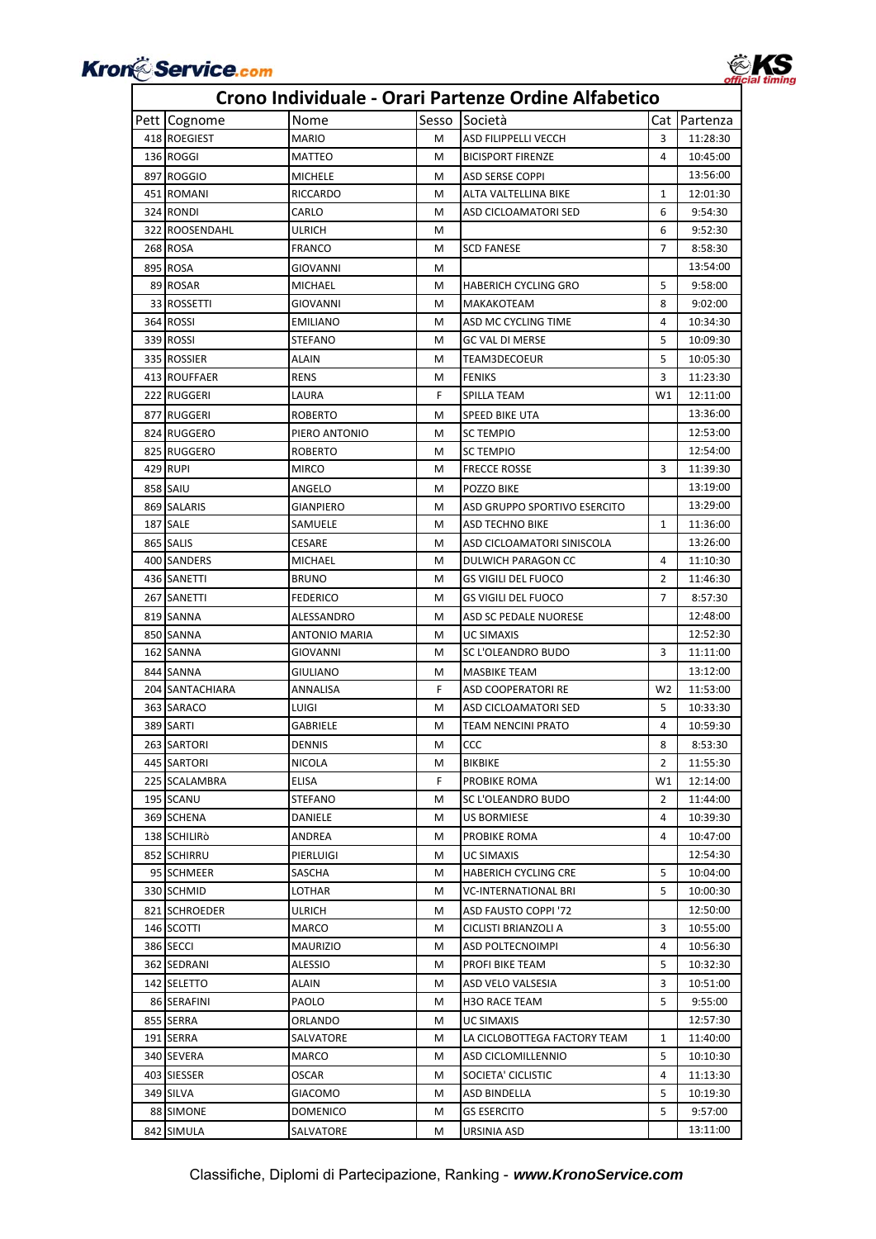

### **Crono Individuale ‐ Orari Partenze Ordine Alfabetico**

| 3<br>418 ROEGIEST<br><b>MARIO</b><br>м<br>ASD FILIPPELLI VECCH<br>11:28:30<br>136 ROGGI<br>M<br><b>BICISPORT FIRENZE</b><br>4<br>MATTEO<br>10:45:00<br>897 ROGGIO<br>13:56:00<br><b>MICHELE</b><br>M<br>ASD SERSE COPPI<br>451 ROMANI<br><b>RICCARDO</b><br>м<br>ALTA VALTELLINA BIKE<br>$\mathbf{1}$<br>12:01:30<br>324 RONDI<br>CARLO<br>ASD CICLOAMATORI SED<br>6<br>9:54:30<br>м<br>322 ROOSENDAHL<br>6<br>ULRICH<br>м<br>9:52:30<br>268 ROSA<br>7<br>FRANCO<br><b>SCD FANESE</b><br>8:58:30<br>м<br>895 ROSA<br>13:54:00<br>GIOVANNI<br>м<br>89 ROSAR<br>5<br>MICHAEL<br>м<br><b>HABERICH CYCLING GRO</b><br>9:58:00<br>33 ROSSETTI<br>GIOVANNI<br>M<br>MAKAKOTEAM<br>8<br>9:02:00<br>364 ROSSI<br>4<br>10:34:30<br><b>EMILIANO</b><br>M<br>ASD MC CYCLING TIME<br>339 ROSSI<br>5<br><b>STEFANO</b><br><b>GC VAL DI MERSE</b><br>10:09:30<br>м<br>335 ROSSIER<br>TEAM3DECOEUR<br>5<br>10:05:30<br>ALAIN<br>м<br>413 ROUFFAER<br>M<br><b>FENIKS</b><br>3<br>RENS<br>11:23:30<br>222 RUGGERI<br>F<br>W1<br>LAURA<br>SPILLA TEAM<br>12:11:00<br>13:36:00<br>877 RUGGERI<br><b>ROBERTO</b><br>м<br>SPEED BIKE UTA<br>12:53:00<br>824 RUGGERO<br>PIERO ANTONIO<br>м<br><b>SC TEMPIO</b><br>12:54:00<br>825 RUGGERO<br><b>ROBERTO</b><br>M<br><b>SC TEMPIO</b><br>429 RUPI<br><b>MIRCO</b><br><b>FRECCE ROSSE</b><br>3<br>м<br>11:39:30<br>858 SAIU<br>13:19:00<br>POZZO BIKE<br>ANGELO<br>м<br>13:29:00<br>869 SALARIS<br>GIANPIERO<br>м<br>ASD GRUPPO SPORTIVO ESERCITO<br>187 SALE<br>SAMUELE<br><b>ASD TECHNO BIKE</b><br>11:36:00<br>м<br>1<br>13:26:00<br>865 SALIS<br><b>CESARE</b><br>м<br>ASD CICLOAMATORI SINISCOLA<br>400 SANDERS<br>11:10:30<br>MICHAEL<br>м<br>DULWICH PARAGON CC<br>4<br>436 SANETTI<br><b>BRUNO</b><br>11:46:30<br>м<br><b>GS VIGILI DEL FUOCO</b><br>2<br>267 SANETTI<br><b>FEDERICO</b><br>M<br><b>GS VIGILI DEL FUOCO</b><br>7<br>8:57:30<br>819 SANNA<br>м<br>ASD SC PEDALE NUORESE<br>12:48:00<br>ALESSANDRO<br>850 SANNA<br>12:52:30<br>ANTONIO MARIA<br><b>UC SIMAXIS</b><br>м<br>162 SANNA<br>GIOVANNI<br>м<br>SC L'OLEANDRO BUDO<br>3<br>11:11:00<br>13:12:00<br>844 SANNA<br><b>MASBIKE TEAM</b><br>GIULIANO<br>м<br>204 SANTACHIARA<br>F<br>W <sub>2</sub><br>ANNALISA<br>ASD COOPERATORI RE<br>11:53:00<br>363 SARACO<br>LUIGI<br>M<br>ASD CICLOAMATORI SED<br>5<br>10:33:30<br>389 SARTI<br>GABRIELE<br><b>TEAM NENCINI PRATO</b><br>4<br>10:59:30<br>м<br>263 SARTORI<br>8:53:30<br><b>DENNIS</b><br>CCC<br>8<br>м<br>445 SARTORI<br><b>BIKBIKE</b><br>2<br>11:55:30<br><b>NICOLA</b><br>м<br>F<br>225 SCALAMBRA<br>ELISA<br>PROBIKE ROMA<br>W1<br>12:14:00<br>195 SCANU<br>STEFANO<br>м<br>SC L'OLEANDRO BUDO<br>2<br>11:44:00<br>369 SCHENA<br>US BORMIESE<br>10:39:30<br>DANIELE<br>м<br>4<br>138 SCHILIRÒ<br>ANDREA<br>м<br>PROBIKE ROMA<br>4<br>10:47:00<br>12:54:30<br>852 SCHIRRU<br>PIERLUIGI<br>м<br>UC SIMAXIS<br>95 SCHMEER<br>5<br>SASCHA<br>м<br><b>HABERICH CYCLING CRE</b><br>10:04:00<br>5<br>330 SCHMID<br>LOTHAR<br>м<br><b>VC-INTERNATIONAL BRI</b><br>10:00:30<br>12:50:00<br>821 SCHROEDER<br><b>ASD FAUSTO COPPI '72</b><br>ULRICH<br>м<br>146 SCOTTI<br>MARCO<br>м<br>CICLISTI BRIANZOLI A<br>3<br>10:55:00<br>386 SECCI<br>4<br>MAURIZIO<br>м<br>ASD POLTECNOIMPI<br>10:56:30<br>362 SEDRANI<br>ALESSIO<br>5<br>м<br>PROFI BIKE TEAM<br>10:32:30<br>142 SELETTO<br>3<br>ALAIN<br>м<br>ASD VELO VALSESIA<br>10:51:00<br>PAOLO<br>5<br>9:55:00<br>86 SERAFINI<br>м<br><b>H3O RACE TEAM</b><br>12:57:30<br>855 SERRA<br>ORLANDO<br>UC SIMAXIS<br>М<br>191 SERRA<br>SALVATORE<br>м<br>LA CICLOBOTTEGA FACTORY TEAM<br>1<br>11:40:00<br>340 SEVERA<br>5<br>MARCO<br>м<br>ASD CICLOMILLENNIO<br>10:10:30<br>403 SIESSER<br>SOCIETA' CICLISTIC<br>4<br>OSCAR<br>м<br>11:13:30<br>349 SILVA<br>5<br>GIACOMO<br>м<br>ASD BINDELLA<br>10:19:30<br>88 SIMONE<br>5<br>9:57:00<br>DOMENICO<br>м<br><b>GS ESERCITO</b><br>13:11:00<br>842 SIMULA<br>URSINIA ASD<br>SALVATORE<br>М | Pett Cognome | Nome | Sesso | Società | Cat   Partenza |
|-----------------------------------------------------------------------------------------------------------------------------------------------------------------------------------------------------------------------------------------------------------------------------------------------------------------------------------------------------------------------------------------------------------------------------------------------------------------------------------------------------------------------------------------------------------------------------------------------------------------------------------------------------------------------------------------------------------------------------------------------------------------------------------------------------------------------------------------------------------------------------------------------------------------------------------------------------------------------------------------------------------------------------------------------------------------------------------------------------------------------------------------------------------------------------------------------------------------------------------------------------------------------------------------------------------------------------------------------------------------------------------------------------------------------------------------------------------------------------------------------------------------------------------------------------------------------------------------------------------------------------------------------------------------------------------------------------------------------------------------------------------------------------------------------------------------------------------------------------------------------------------------------------------------------------------------------------------------------------------------------------------------------------------------------------------------------------------------------------------------------------------------------------------------------------------------------------------------------------------------------------------------------------------------------------------------------------------------------------------------------------------------------------------------------------------------------------------------------------------------------------------------------------------------------------------------------------------------------------------------------------------------------------------------------------------------------------------------------------------------------------------------------------------------------------------------------------------------------------------------------------------------------------------------------------------------------------------------------------------------------------------------------------------------------------------------------------------------------------------------------------------------------------------------------------------------------------------------------------------------------------------------------------------------------------------------------------------------------------------------------------------------------------------------------------------------------------------------------------------------------------------------------------------------------------------------------------------------------------------------------------------------------------------------------------------------------------------------------------------------------------------------------------------------------------------------------------------------------------------------------------------------------------------------------------------------|--------------|------|-------|---------|----------------|
|                                                                                                                                                                                                                                                                                                                                                                                                                                                                                                                                                                                                                                                                                                                                                                                                                                                                                                                                                                                                                                                                                                                                                                                                                                                                                                                                                                                                                                                                                                                                                                                                                                                                                                                                                                                                                                                                                                                                                                                                                                                                                                                                                                                                                                                                                                                                                                                                                                                                                                                                                                                                                                                                                                                                                                                                                                                                                                                                                                                                                                                                                                                                                                                                                                                                                                                                                                                                                                                                                                                                                                                                                                                                                                                                                                                                                                                                                                                                         |              |      |       |         |                |
|                                                                                                                                                                                                                                                                                                                                                                                                                                                                                                                                                                                                                                                                                                                                                                                                                                                                                                                                                                                                                                                                                                                                                                                                                                                                                                                                                                                                                                                                                                                                                                                                                                                                                                                                                                                                                                                                                                                                                                                                                                                                                                                                                                                                                                                                                                                                                                                                                                                                                                                                                                                                                                                                                                                                                                                                                                                                                                                                                                                                                                                                                                                                                                                                                                                                                                                                                                                                                                                                                                                                                                                                                                                                                                                                                                                                                                                                                                                                         |              |      |       |         |                |
|                                                                                                                                                                                                                                                                                                                                                                                                                                                                                                                                                                                                                                                                                                                                                                                                                                                                                                                                                                                                                                                                                                                                                                                                                                                                                                                                                                                                                                                                                                                                                                                                                                                                                                                                                                                                                                                                                                                                                                                                                                                                                                                                                                                                                                                                                                                                                                                                                                                                                                                                                                                                                                                                                                                                                                                                                                                                                                                                                                                                                                                                                                                                                                                                                                                                                                                                                                                                                                                                                                                                                                                                                                                                                                                                                                                                                                                                                                                                         |              |      |       |         |                |
|                                                                                                                                                                                                                                                                                                                                                                                                                                                                                                                                                                                                                                                                                                                                                                                                                                                                                                                                                                                                                                                                                                                                                                                                                                                                                                                                                                                                                                                                                                                                                                                                                                                                                                                                                                                                                                                                                                                                                                                                                                                                                                                                                                                                                                                                                                                                                                                                                                                                                                                                                                                                                                                                                                                                                                                                                                                                                                                                                                                                                                                                                                                                                                                                                                                                                                                                                                                                                                                                                                                                                                                                                                                                                                                                                                                                                                                                                                                                         |              |      |       |         |                |
|                                                                                                                                                                                                                                                                                                                                                                                                                                                                                                                                                                                                                                                                                                                                                                                                                                                                                                                                                                                                                                                                                                                                                                                                                                                                                                                                                                                                                                                                                                                                                                                                                                                                                                                                                                                                                                                                                                                                                                                                                                                                                                                                                                                                                                                                                                                                                                                                                                                                                                                                                                                                                                                                                                                                                                                                                                                                                                                                                                                                                                                                                                                                                                                                                                                                                                                                                                                                                                                                                                                                                                                                                                                                                                                                                                                                                                                                                                                                         |              |      |       |         |                |
|                                                                                                                                                                                                                                                                                                                                                                                                                                                                                                                                                                                                                                                                                                                                                                                                                                                                                                                                                                                                                                                                                                                                                                                                                                                                                                                                                                                                                                                                                                                                                                                                                                                                                                                                                                                                                                                                                                                                                                                                                                                                                                                                                                                                                                                                                                                                                                                                                                                                                                                                                                                                                                                                                                                                                                                                                                                                                                                                                                                                                                                                                                                                                                                                                                                                                                                                                                                                                                                                                                                                                                                                                                                                                                                                                                                                                                                                                                                                         |              |      |       |         |                |
|                                                                                                                                                                                                                                                                                                                                                                                                                                                                                                                                                                                                                                                                                                                                                                                                                                                                                                                                                                                                                                                                                                                                                                                                                                                                                                                                                                                                                                                                                                                                                                                                                                                                                                                                                                                                                                                                                                                                                                                                                                                                                                                                                                                                                                                                                                                                                                                                                                                                                                                                                                                                                                                                                                                                                                                                                                                                                                                                                                                                                                                                                                                                                                                                                                                                                                                                                                                                                                                                                                                                                                                                                                                                                                                                                                                                                                                                                                                                         |              |      |       |         |                |
|                                                                                                                                                                                                                                                                                                                                                                                                                                                                                                                                                                                                                                                                                                                                                                                                                                                                                                                                                                                                                                                                                                                                                                                                                                                                                                                                                                                                                                                                                                                                                                                                                                                                                                                                                                                                                                                                                                                                                                                                                                                                                                                                                                                                                                                                                                                                                                                                                                                                                                                                                                                                                                                                                                                                                                                                                                                                                                                                                                                                                                                                                                                                                                                                                                                                                                                                                                                                                                                                                                                                                                                                                                                                                                                                                                                                                                                                                                                                         |              |      |       |         |                |
|                                                                                                                                                                                                                                                                                                                                                                                                                                                                                                                                                                                                                                                                                                                                                                                                                                                                                                                                                                                                                                                                                                                                                                                                                                                                                                                                                                                                                                                                                                                                                                                                                                                                                                                                                                                                                                                                                                                                                                                                                                                                                                                                                                                                                                                                                                                                                                                                                                                                                                                                                                                                                                                                                                                                                                                                                                                                                                                                                                                                                                                                                                                                                                                                                                                                                                                                                                                                                                                                                                                                                                                                                                                                                                                                                                                                                                                                                                                                         |              |      |       |         |                |
|                                                                                                                                                                                                                                                                                                                                                                                                                                                                                                                                                                                                                                                                                                                                                                                                                                                                                                                                                                                                                                                                                                                                                                                                                                                                                                                                                                                                                                                                                                                                                                                                                                                                                                                                                                                                                                                                                                                                                                                                                                                                                                                                                                                                                                                                                                                                                                                                                                                                                                                                                                                                                                                                                                                                                                                                                                                                                                                                                                                                                                                                                                                                                                                                                                                                                                                                                                                                                                                                                                                                                                                                                                                                                                                                                                                                                                                                                                                                         |              |      |       |         |                |
|                                                                                                                                                                                                                                                                                                                                                                                                                                                                                                                                                                                                                                                                                                                                                                                                                                                                                                                                                                                                                                                                                                                                                                                                                                                                                                                                                                                                                                                                                                                                                                                                                                                                                                                                                                                                                                                                                                                                                                                                                                                                                                                                                                                                                                                                                                                                                                                                                                                                                                                                                                                                                                                                                                                                                                                                                                                                                                                                                                                                                                                                                                                                                                                                                                                                                                                                                                                                                                                                                                                                                                                                                                                                                                                                                                                                                                                                                                                                         |              |      |       |         |                |
|                                                                                                                                                                                                                                                                                                                                                                                                                                                                                                                                                                                                                                                                                                                                                                                                                                                                                                                                                                                                                                                                                                                                                                                                                                                                                                                                                                                                                                                                                                                                                                                                                                                                                                                                                                                                                                                                                                                                                                                                                                                                                                                                                                                                                                                                                                                                                                                                                                                                                                                                                                                                                                                                                                                                                                                                                                                                                                                                                                                                                                                                                                                                                                                                                                                                                                                                                                                                                                                                                                                                                                                                                                                                                                                                                                                                                                                                                                                                         |              |      |       |         |                |
|                                                                                                                                                                                                                                                                                                                                                                                                                                                                                                                                                                                                                                                                                                                                                                                                                                                                                                                                                                                                                                                                                                                                                                                                                                                                                                                                                                                                                                                                                                                                                                                                                                                                                                                                                                                                                                                                                                                                                                                                                                                                                                                                                                                                                                                                                                                                                                                                                                                                                                                                                                                                                                                                                                                                                                                                                                                                                                                                                                                                                                                                                                                                                                                                                                                                                                                                                                                                                                                                                                                                                                                                                                                                                                                                                                                                                                                                                                                                         |              |      |       |         |                |
|                                                                                                                                                                                                                                                                                                                                                                                                                                                                                                                                                                                                                                                                                                                                                                                                                                                                                                                                                                                                                                                                                                                                                                                                                                                                                                                                                                                                                                                                                                                                                                                                                                                                                                                                                                                                                                                                                                                                                                                                                                                                                                                                                                                                                                                                                                                                                                                                                                                                                                                                                                                                                                                                                                                                                                                                                                                                                                                                                                                                                                                                                                                                                                                                                                                                                                                                                                                                                                                                                                                                                                                                                                                                                                                                                                                                                                                                                                                                         |              |      |       |         |                |
|                                                                                                                                                                                                                                                                                                                                                                                                                                                                                                                                                                                                                                                                                                                                                                                                                                                                                                                                                                                                                                                                                                                                                                                                                                                                                                                                                                                                                                                                                                                                                                                                                                                                                                                                                                                                                                                                                                                                                                                                                                                                                                                                                                                                                                                                                                                                                                                                                                                                                                                                                                                                                                                                                                                                                                                                                                                                                                                                                                                                                                                                                                                                                                                                                                                                                                                                                                                                                                                                                                                                                                                                                                                                                                                                                                                                                                                                                                                                         |              |      |       |         |                |
|                                                                                                                                                                                                                                                                                                                                                                                                                                                                                                                                                                                                                                                                                                                                                                                                                                                                                                                                                                                                                                                                                                                                                                                                                                                                                                                                                                                                                                                                                                                                                                                                                                                                                                                                                                                                                                                                                                                                                                                                                                                                                                                                                                                                                                                                                                                                                                                                                                                                                                                                                                                                                                                                                                                                                                                                                                                                                                                                                                                                                                                                                                                                                                                                                                                                                                                                                                                                                                                                                                                                                                                                                                                                                                                                                                                                                                                                                                                                         |              |      |       |         |                |
|                                                                                                                                                                                                                                                                                                                                                                                                                                                                                                                                                                                                                                                                                                                                                                                                                                                                                                                                                                                                                                                                                                                                                                                                                                                                                                                                                                                                                                                                                                                                                                                                                                                                                                                                                                                                                                                                                                                                                                                                                                                                                                                                                                                                                                                                                                                                                                                                                                                                                                                                                                                                                                                                                                                                                                                                                                                                                                                                                                                                                                                                                                                                                                                                                                                                                                                                                                                                                                                                                                                                                                                                                                                                                                                                                                                                                                                                                                                                         |              |      |       |         |                |
|                                                                                                                                                                                                                                                                                                                                                                                                                                                                                                                                                                                                                                                                                                                                                                                                                                                                                                                                                                                                                                                                                                                                                                                                                                                                                                                                                                                                                                                                                                                                                                                                                                                                                                                                                                                                                                                                                                                                                                                                                                                                                                                                                                                                                                                                                                                                                                                                                                                                                                                                                                                                                                                                                                                                                                                                                                                                                                                                                                                                                                                                                                                                                                                                                                                                                                                                                                                                                                                                                                                                                                                                                                                                                                                                                                                                                                                                                                                                         |              |      |       |         |                |
|                                                                                                                                                                                                                                                                                                                                                                                                                                                                                                                                                                                                                                                                                                                                                                                                                                                                                                                                                                                                                                                                                                                                                                                                                                                                                                                                                                                                                                                                                                                                                                                                                                                                                                                                                                                                                                                                                                                                                                                                                                                                                                                                                                                                                                                                                                                                                                                                                                                                                                                                                                                                                                                                                                                                                                                                                                                                                                                                                                                                                                                                                                                                                                                                                                                                                                                                                                                                                                                                                                                                                                                                                                                                                                                                                                                                                                                                                                                                         |              |      |       |         |                |
|                                                                                                                                                                                                                                                                                                                                                                                                                                                                                                                                                                                                                                                                                                                                                                                                                                                                                                                                                                                                                                                                                                                                                                                                                                                                                                                                                                                                                                                                                                                                                                                                                                                                                                                                                                                                                                                                                                                                                                                                                                                                                                                                                                                                                                                                                                                                                                                                                                                                                                                                                                                                                                                                                                                                                                                                                                                                                                                                                                                                                                                                                                                                                                                                                                                                                                                                                                                                                                                                                                                                                                                                                                                                                                                                                                                                                                                                                                                                         |              |      |       |         |                |
|                                                                                                                                                                                                                                                                                                                                                                                                                                                                                                                                                                                                                                                                                                                                                                                                                                                                                                                                                                                                                                                                                                                                                                                                                                                                                                                                                                                                                                                                                                                                                                                                                                                                                                                                                                                                                                                                                                                                                                                                                                                                                                                                                                                                                                                                                                                                                                                                                                                                                                                                                                                                                                                                                                                                                                                                                                                                                                                                                                                                                                                                                                                                                                                                                                                                                                                                                                                                                                                                                                                                                                                                                                                                                                                                                                                                                                                                                                                                         |              |      |       |         |                |
|                                                                                                                                                                                                                                                                                                                                                                                                                                                                                                                                                                                                                                                                                                                                                                                                                                                                                                                                                                                                                                                                                                                                                                                                                                                                                                                                                                                                                                                                                                                                                                                                                                                                                                                                                                                                                                                                                                                                                                                                                                                                                                                                                                                                                                                                                                                                                                                                                                                                                                                                                                                                                                                                                                                                                                                                                                                                                                                                                                                                                                                                                                                                                                                                                                                                                                                                                                                                                                                                                                                                                                                                                                                                                                                                                                                                                                                                                                                                         |              |      |       |         |                |
|                                                                                                                                                                                                                                                                                                                                                                                                                                                                                                                                                                                                                                                                                                                                                                                                                                                                                                                                                                                                                                                                                                                                                                                                                                                                                                                                                                                                                                                                                                                                                                                                                                                                                                                                                                                                                                                                                                                                                                                                                                                                                                                                                                                                                                                                                                                                                                                                                                                                                                                                                                                                                                                                                                                                                                                                                                                                                                                                                                                                                                                                                                                                                                                                                                                                                                                                                                                                                                                                                                                                                                                                                                                                                                                                                                                                                                                                                                                                         |              |      |       |         |                |
|                                                                                                                                                                                                                                                                                                                                                                                                                                                                                                                                                                                                                                                                                                                                                                                                                                                                                                                                                                                                                                                                                                                                                                                                                                                                                                                                                                                                                                                                                                                                                                                                                                                                                                                                                                                                                                                                                                                                                                                                                                                                                                                                                                                                                                                                                                                                                                                                                                                                                                                                                                                                                                                                                                                                                                                                                                                                                                                                                                                                                                                                                                                                                                                                                                                                                                                                                                                                                                                                                                                                                                                                                                                                                                                                                                                                                                                                                                                                         |              |      |       |         |                |
|                                                                                                                                                                                                                                                                                                                                                                                                                                                                                                                                                                                                                                                                                                                                                                                                                                                                                                                                                                                                                                                                                                                                                                                                                                                                                                                                                                                                                                                                                                                                                                                                                                                                                                                                                                                                                                                                                                                                                                                                                                                                                                                                                                                                                                                                                                                                                                                                                                                                                                                                                                                                                                                                                                                                                                                                                                                                                                                                                                                                                                                                                                                                                                                                                                                                                                                                                                                                                                                                                                                                                                                                                                                                                                                                                                                                                                                                                                                                         |              |      |       |         |                |
|                                                                                                                                                                                                                                                                                                                                                                                                                                                                                                                                                                                                                                                                                                                                                                                                                                                                                                                                                                                                                                                                                                                                                                                                                                                                                                                                                                                                                                                                                                                                                                                                                                                                                                                                                                                                                                                                                                                                                                                                                                                                                                                                                                                                                                                                                                                                                                                                                                                                                                                                                                                                                                                                                                                                                                                                                                                                                                                                                                                                                                                                                                                                                                                                                                                                                                                                                                                                                                                                                                                                                                                                                                                                                                                                                                                                                                                                                                                                         |              |      |       |         |                |
|                                                                                                                                                                                                                                                                                                                                                                                                                                                                                                                                                                                                                                                                                                                                                                                                                                                                                                                                                                                                                                                                                                                                                                                                                                                                                                                                                                                                                                                                                                                                                                                                                                                                                                                                                                                                                                                                                                                                                                                                                                                                                                                                                                                                                                                                                                                                                                                                                                                                                                                                                                                                                                                                                                                                                                                                                                                                                                                                                                                                                                                                                                                                                                                                                                                                                                                                                                                                                                                                                                                                                                                                                                                                                                                                                                                                                                                                                                                                         |              |      |       |         |                |
|                                                                                                                                                                                                                                                                                                                                                                                                                                                                                                                                                                                                                                                                                                                                                                                                                                                                                                                                                                                                                                                                                                                                                                                                                                                                                                                                                                                                                                                                                                                                                                                                                                                                                                                                                                                                                                                                                                                                                                                                                                                                                                                                                                                                                                                                                                                                                                                                                                                                                                                                                                                                                                                                                                                                                                                                                                                                                                                                                                                                                                                                                                                                                                                                                                                                                                                                                                                                                                                                                                                                                                                                                                                                                                                                                                                                                                                                                                                                         |              |      |       |         |                |
|                                                                                                                                                                                                                                                                                                                                                                                                                                                                                                                                                                                                                                                                                                                                                                                                                                                                                                                                                                                                                                                                                                                                                                                                                                                                                                                                                                                                                                                                                                                                                                                                                                                                                                                                                                                                                                                                                                                                                                                                                                                                                                                                                                                                                                                                                                                                                                                                                                                                                                                                                                                                                                                                                                                                                                                                                                                                                                                                                                                                                                                                                                                                                                                                                                                                                                                                                                                                                                                                                                                                                                                                                                                                                                                                                                                                                                                                                                                                         |              |      |       |         |                |
|                                                                                                                                                                                                                                                                                                                                                                                                                                                                                                                                                                                                                                                                                                                                                                                                                                                                                                                                                                                                                                                                                                                                                                                                                                                                                                                                                                                                                                                                                                                                                                                                                                                                                                                                                                                                                                                                                                                                                                                                                                                                                                                                                                                                                                                                                                                                                                                                                                                                                                                                                                                                                                                                                                                                                                                                                                                                                                                                                                                                                                                                                                                                                                                                                                                                                                                                                                                                                                                                                                                                                                                                                                                                                                                                                                                                                                                                                                                                         |              |      |       |         |                |
|                                                                                                                                                                                                                                                                                                                                                                                                                                                                                                                                                                                                                                                                                                                                                                                                                                                                                                                                                                                                                                                                                                                                                                                                                                                                                                                                                                                                                                                                                                                                                                                                                                                                                                                                                                                                                                                                                                                                                                                                                                                                                                                                                                                                                                                                                                                                                                                                                                                                                                                                                                                                                                                                                                                                                                                                                                                                                                                                                                                                                                                                                                                                                                                                                                                                                                                                                                                                                                                                                                                                                                                                                                                                                                                                                                                                                                                                                                                                         |              |      |       |         |                |
|                                                                                                                                                                                                                                                                                                                                                                                                                                                                                                                                                                                                                                                                                                                                                                                                                                                                                                                                                                                                                                                                                                                                                                                                                                                                                                                                                                                                                                                                                                                                                                                                                                                                                                                                                                                                                                                                                                                                                                                                                                                                                                                                                                                                                                                                                                                                                                                                                                                                                                                                                                                                                                                                                                                                                                                                                                                                                                                                                                                                                                                                                                                                                                                                                                                                                                                                                                                                                                                                                                                                                                                                                                                                                                                                                                                                                                                                                                                                         |              |      |       |         |                |
|                                                                                                                                                                                                                                                                                                                                                                                                                                                                                                                                                                                                                                                                                                                                                                                                                                                                                                                                                                                                                                                                                                                                                                                                                                                                                                                                                                                                                                                                                                                                                                                                                                                                                                                                                                                                                                                                                                                                                                                                                                                                                                                                                                                                                                                                                                                                                                                                                                                                                                                                                                                                                                                                                                                                                                                                                                                                                                                                                                                                                                                                                                                                                                                                                                                                                                                                                                                                                                                                                                                                                                                                                                                                                                                                                                                                                                                                                                                                         |              |      |       |         |                |
|                                                                                                                                                                                                                                                                                                                                                                                                                                                                                                                                                                                                                                                                                                                                                                                                                                                                                                                                                                                                                                                                                                                                                                                                                                                                                                                                                                                                                                                                                                                                                                                                                                                                                                                                                                                                                                                                                                                                                                                                                                                                                                                                                                                                                                                                                                                                                                                                                                                                                                                                                                                                                                                                                                                                                                                                                                                                                                                                                                                                                                                                                                                                                                                                                                                                                                                                                                                                                                                                                                                                                                                                                                                                                                                                                                                                                                                                                                                                         |              |      |       |         |                |
|                                                                                                                                                                                                                                                                                                                                                                                                                                                                                                                                                                                                                                                                                                                                                                                                                                                                                                                                                                                                                                                                                                                                                                                                                                                                                                                                                                                                                                                                                                                                                                                                                                                                                                                                                                                                                                                                                                                                                                                                                                                                                                                                                                                                                                                                                                                                                                                                                                                                                                                                                                                                                                                                                                                                                                                                                                                                                                                                                                                                                                                                                                                                                                                                                                                                                                                                                                                                                                                                                                                                                                                                                                                                                                                                                                                                                                                                                                                                         |              |      |       |         |                |
|                                                                                                                                                                                                                                                                                                                                                                                                                                                                                                                                                                                                                                                                                                                                                                                                                                                                                                                                                                                                                                                                                                                                                                                                                                                                                                                                                                                                                                                                                                                                                                                                                                                                                                                                                                                                                                                                                                                                                                                                                                                                                                                                                                                                                                                                                                                                                                                                                                                                                                                                                                                                                                                                                                                                                                                                                                                                                                                                                                                                                                                                                                                                                                                                                                                                                                                                                                                                                                                                                                                                                                                                                                                                                                                                                                                                                                                                                                                                         |              |      |       |         |                |
|                                                                                                                                                                                                                                                                                                                                                                                                                                                                                                                                                                                                                                                                                                                                                                                                                                                                                                                                                                                                                                                                                                                                                                                                                                                                                                                                                                                                                                                                                                                                                                                                                                                                                                                                                                                                                                                                                                                                                                                                                                                                                                                                                                                                                                                                                                                                                                                                                                                                                                                                                                                                                                                                                                                                                                                                                                                                                                                                                                                                                                                                                                                                                                                                                                                                                                                                                                                                                                                                                                                                                                                                                                                                                                                                                                                                                                                                                                                                         |              |      |       |         |                |
|                                                                                                                                                                                                                                                                                                                                                                                                                                                                                                                                                                                                                                                                                                                                                                                                                                                                                                                                                                                                                                                                                                                                                                                                                                                                                                                                                                                                                                                                                                                                                                                                                                                                                                                                                                                                                                                                                                                                                                                                                                                                                                                                                                                                                                                                                                                                                                                                                                                                                                                                                                                                                                                                                                                                                                                                                                                                                                                                                                                                                                                                                                                                                                                                                                                                                                                                                                                                                                                                                                                                                                                                                                                                                                                                                                                                                                                                                                                                         |              |      |       |         |                |
|                                                                                                                                                                                                                                                                                                                                                                                                                                                                                                                                                                                                                                                                                                                                                                                                                                                                                                                                                                                                                                                                                                                                                                                                                                                                                                                                                                                                                                                                                                                                                                                                                                                                                                                                                                                                                                                                                                                                                                                                                                                                                                                                                                                                                                                                                                                                                                                                                                                                                                                                                                                                                                                                                                                                                                                                                                                                                                                                                                                                                                                                                                                                                                                                                                                                                                                                                                                                                                                                                                                                                                                                                                                                                                                                                                                                                                                                                                                                         |              |      |       |         |                |
|                                                                                                                                                                                                                                                                                                                                                                                                                                                                                                                                                                                                                                                                                                                                                                                                                                                                                                                                                                                                                                                                                                                                                                                                                                                                                                                                                                                                                                                                                                                                                                                                                                                                                                                                                                                                                                                                                                                                                                                                                                                                                                                                                                                                                                                                                                                                                                                                                                                                                                                                                                                                                                                                                                                                                                                                                                                                                                                                                                                                                                                                                                                                                                                                                                                                                                                                                                                                                                                                                                                                                                                                                                                                                                                                                                                                                                                                                                                                         |              |      |       |         |                |
|                                                                                                                                                                                                                                                                                                                                                                                                                                                                                                                                                                                                                                                                                                                                                                                                                                                                                                                                                                                                                                                                                                                                                                                                                                                                                                                                                                                                                                                                                                                                                                                                                                                                                                                                                                                                                                                                                                                                                                                                                                                                                                                                                                                                                                                                                                                                                                                                                                                                                                                                                                                                                                                                                                                                                                                                                                                                                                                                                                                                                                                                                                                                                                                                                                                                                                                                                                                                                                                                                                                                                                                                                                                                                                                                                                                                                                                                                                                                         |              |      |       |         |                |
|                                                                                                                                                                                                                                                                                                                                                                                                                                                                                                                                                                                                                                                                                                                                                                                                                                                                                                                                                                                                                                                                                                                                                                                                                                                                                                                                                                                                                                                                                                                                                                                                                                                                                                                                                                                                                                                                                                                                                                                                                                                                                                                                                                                                                                                                                                                                                                                                                                                                                                                                                                                                                                                                                                                                                                                                                                                                                                                                                                                                                                                                                                                                                                                                                                                                                                                                                                                                                                                                                                                                                                                                                                                                                                                                                                                                                                                                                                                                         |              |      |       |         |                |
|                                                                                                                                                                                                                                                                                                                                                                                                                                                                                                                                                                                                                                                                                                                                                                                                                                                                                                                                                                                                                                                                                                                                                                                                                                                                                                                                                                                                                                                                                                                                                                                                                                                                                                                                                                                                                                                                                                                                                                                                                                                                                                                                                                                                                                                                                                                                                                                                                                                                                                                                                                                                                                                                                                                                                                                                                                                                                                                                                                                                                                                                                                                                                                                                                                                                                                                                                                                                                                                                                                                                                                                                                                                                                                                                                                                                                                                                                                                                         |              |      |       |         |                |
|                                                                                                                                                                                                                                                                                                                                                                                                                                                                                                                                                                                                                                                                                                                                                                                                                                                                                                                                                                                                                                                                                                                                                                                                                                                                                                                                                                                                                                                                                                                                                                                                                                                                                                                                                                                                                                                                                                                                                                                                                                                                                                                                                                                                                                                                                                                                                                                                                                                                                                                                                                                                                                                                                                                                                                                                                                                                                                                                                                                                                                                                                                                                                                                                                                                                                                                                                                                                                                                                                                                                                                                                                                                                                                                                                                                                                                                                                                                                         |              |      |       |         |                |
|                                                                                                                                                                                                                                                                                                                                                                                                                                                                                                                                                                                                                                                                                                                                                                                                                                                                                                                                                                                                                                                                                                                                                                                                                                                                                                                                                                                                                                                                                                                                                                                                                                                                                                                                                                                                                                                                                                                                                                                                                                                                                                                                                                                                                                                                                                                                                                                                                                                                                                                                                                                                                                                                                                                                                                                                                                                                                                                                                                                                                                                                                                                                                                                                                                                                                                                                                                                                                                                                                                                                                                                                                                                                                                                                                                                                                                                                                                                                         |              |      |       |         |                |
|                                                                                                                                                                                                                                                                                                                                                                                                                                                                                                                                                                                                                                                                                                                                                                                                                                                                                                                                                                                                                                                                                                                                                                                                                                                                                                                                                                                                                                                                                                                                                                                                                                                                                                                                                                                                                                                                                                                                                                                                                                                                                                                                                                                                                                                                                                                                                                                                                                                                                                                                                                                                                                                                                                                                                                                                                                                                                                                                                                                                                                                                                                                                                                                                                                                                                                                                                                                                                                                                                                                                                                                                                                                                                                                                                                                                                                                                                                                                         |              |      |       |         |                |
|                                                                                                                                                                                                                                                                                                                                                                                                                                                                                                                                                                                                                                                                                                                                                                                                                                                                                                                                                                                                                                                                                                                                                                                                                                                                                                                                                                                                                                                                                                                                                                                                                                                                                                                                                                                                                                                                                                                                                                                                                                                                                                                                                                                                                                                                                                                                                                                                                                                                                                                                                                                                                                                                                                                                                                                                                                                                                                                                                                                                                                                                                                                                                                                                                                                                                                                                                                                                                                                                                                                                                                                                                                                                                                                                                                                                                                                                                                                                         |              |      |       |         |                |
|                                                                                                                                                                                                                                                                                                                                                                                                                                                                                                                                                                                                                                                                                                                                                                                                                                                                                                                                                                                                                                                                                                                                                                                                                                                                                                                                                                                                                                                                                                                                                                                                                                                                                                                                                                                                                                                                                                                                                                                                                                                                                                                                                                                                                                                                                                                                                                                                                                                                                                                                                                                                                                                                                                                                                                                                                                                                                                                                                                                                                                                                                                                                                                                                                                                                                                                                                                                                                                                                                                                                                                                                                                                                                                                                                                                                                                                                                                                                         |              |      |       |         |                |
|                                                                                                                                                                                                                                                                                                                                                                                                                                                                                                                                                                                                                                                                                                                                                                                                                                                                                                                                                                                                                                                                                                                                                                                                                                                                                                                                                                                                                                                                                                                                                                                                                                                                                                                                                                                                                                                                                                                                                                                                                                                                                                                                                                                                                                                                                                                                                                                                                                                                                                                                                                                                                                                                                                                                                                                                                                                                                                                                                                                                                                                                                                                                                                                                                                                                                                                                                                                                                                                                                                                                                                                                                                                                                                                                                                                                                                                                                                                                         |              |      |       |         |                |
|                                                                                                                                                                                                                                                                                                                                                                                                                                                                                                                                                                                                                                                                                                                                                                                                                                                                                                                                                                                                                                                                                                                                                                                                                                                                                                                                                                                                                                                                                                                                                                                                                                                                                                                                                                                                                                                                                                                                                                                                                                                                                                                                                                                                                                                                                                                                                                                                                                                                                                                                                                                                                                                                                                                                                                                                                                                                                                                                                                                                                                                                                                                                                                                                                                                                                                                                                                                                                                                                                                                                                                                                                                                                                                                                                                                                                                                                                                                                         |              |      |       |         |                |
|                                                                                                                                                                                                                                                                                                                                                                                                                                                                                                                                                                                                                                                                                                                                                                                                                                                                                                                                                                                                                                                                                                                                                                                                                                                                                                                                                                                                                                                                                                                                                                                                                                                                                                                                                                                                                                                                                                                                                                                                                                                                                                                                                                                                                                                                                                                                                                                                                                                                                                                                                                                                                                                                                                                                                                                                                                                                                                                                                                                                                                                                                                                                                                                                                                                                                                                                                                                                                                                                                                                                                                                                                                                                                                                                                                                                                                                                                                                                         |              |      |       |         |                |
|                                                                                                                                                                                                                                                                                                                                                                                                                                                                                                                                                                                                                                                                                                                                                                                                                                                                                                                                                                                                                                                                                                                                                                                                                                                                                                                                                                                                                                                                                                                                                                                                                                                                                                                                                                                                                                                                                                                                                                                                                                                                                                                                                                                                                                                                                                                                                                                                                                                                                                                                                                                                                                                                                                                                                                                                                                                                                                                                                                                                                                                                                                                                                                                                                                                                                                                                                                                                                                                                                                                                                                                                                                                                                                                                                                                                                                                                                                                                         |              |      |       |         |                |
|                                                                                                                                                                                                                                                                                                                                                                                                                                                                                                                                                                                                                                                                                                                                                                                                                                                                                                                                                                                                                                                                                                                                                                                                                                                                                                                                                                                                                                                                                                                                                                                                                                                                                                                                                                                                                                                                                                                                                                                                                                                                                                                                                                                                                                                                                                                                                                                                                                                                                                                                                                                                                                                                                                                                                                                                                                                                                                                                                                                                                                                                                                                                                                                                                                                                                                                                                                                                                                                                                                                                                                                                                                                                                                                                                                                                                                                                                                                                         |              |      |       |         |                |
|                                                                                                                                                                                                                                                                                                                                                                                                                                                                                                                                                                                                                                                                                                                                                                                                                                                                                                                                                                                                                                                                                                                                                                                                                                                                                                                                                                                                                                                                                                                                                                                                                                                                                                                                                                                                                                                                                                                                                                                                                                                                                                                                                                                                                                                                                                                                                                                                                                                                                                                                                                                                                                                                                                                                                                                                                                                                                                                                                                                                                                                                                                                                                                                                                                                                                                                                                                                                                                                                                                                                                                                                                                                                                                                                                                                                                                                                                                                                         |              |      |       |         |                |
|                                                                                                                                                                                                                                                                                                                                                                                                                                                                                                                                                                                                                                                                                                                                                                                                                                                                                                                                                                                                                                                                                                                                                                                                                                                                                                                                                                                                                                                                                                                                                                                                                                                                                                                                                                                                                                                                                                                                                                                                                                                                                                                                                                                                                                                                                                                                                                                                                                                                                                                                                                                                                                                                                                                                                                                                                                                                                                                                                                                                                                                                                                                                                                                                                                                                                                                                                                                                                                                                                                                                                                                                                                                                                                                                                                                                                                                                                                                                         |              |      |       |         |                |

Classifiche, Diplomi di Partecipazione, Ranking - *www.KronoService.com*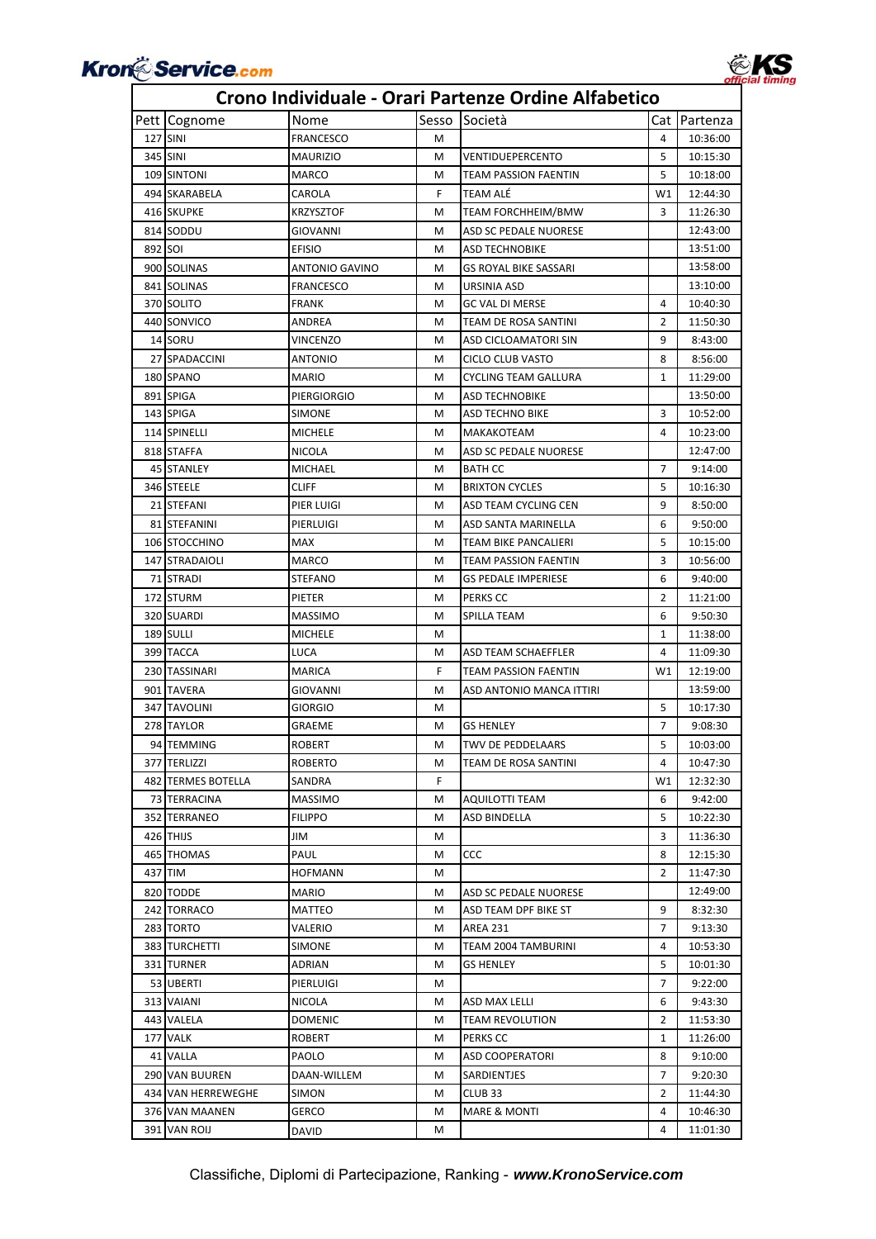

### Pett Cognome Nome Sesso Società Cat Partenza 127 SINI FRANCESCO M 4 10:36:00 345 SINI MAURIZIO M VENTIDUEPERCENTO 5 10:15:30 109 SINTONI MARCO MARCO M TEAM PASSION FAENTIN 5 10:18:00 494 SKARABELA CAROLA F TEAM ALÉ W1 12:44:30 416 SKUPKE KRZYSZTOF M TEAM FORCHHEIM/BMW 3 11:26:30 814 SODDU GIOVANNI M ASD SC PEDALE NUORESE 12:43:00 892 SOI **EFISIO EFISIO** M ASD TECHNOBIKE 13:51:00 900 SOLINAS ANTONIO GAVINO M GS ROYAL BIKE SASSARI 13:58:00 841 SOLINAS FRANCESCO M URSINIA ASD 13:10:00 370 SOLITO **FRANK** FRANK M GC VAL DI MERSE 4 10:40:30 440 SONVICO **ANDREA M** TEAM DE ROSA SANTINI 2 11:50:30 14 SORU VINCENZO M ASD CICLOAMATORI SIN 9 8:43:00 27 SPADACCINI ANTONIO | M CICLO CLUB VASTO | 8 8:56:00 180 SPANO MARIO MERICIONE NEWSLET MARIO MUNICIPAL MARIO MERICING TEAM GALLURA 1 11:29:00 891 SPIGA PIERGIORGIO M ASD TECHNOBIKE | 13:50:00 143 SPIGA SIMONE M ASD TECHNO BIKE 3 10:52:00 114 SPINELLI MICHELE M MAKAKOTEAM 4 10:23:00 818 STAFFA NICOLA M ASD SC PEDALE NUORESE 12:47:00 45 STANLEY MICHAEL M BATH CC 7 9:14:00 346 STEELE CLIFF CLIFF M BRIXTON CYCLES 5 10:16:30 21 STEFANI PIER LUIGI M ASD TEAM CYCLING CEN 9 8:50:00 81 STEFANINI PIERLUIGI | M ASD SANTA MARINELLA | 6 9:50:00 106 STOCCHINO MAX M TEAM BIKE PANCALIERI 5 10:15:00 147 STRADAIOLI MARCO MARCO M TEAM PASSION FAENTIN 3 10:56:00 71 STRADI STEFANO M GS PEDALE IMPERIESE 6 9:40:00 172 STURM PIETER M PERKS CC 2 11:21:00 320 SUARDI MASSIMO M SPILLA TEAM 6 9:50:30 189 SULLI MICHELE MICHELE MILLION MICHELE MILLION MICHELE MILLION MICHELE MILLION MICHELE 399 TACCA LUCA M ASD TEAM SCHAEFFLER 4 11:09:30 230 TASSINARI MARICA F TEAM PASSION FAENTIN W1 12:19:00 901 TAVERA GIOVANNI M ASD ANTONIO MANCA ITTIRI 13:59:00 347 TAVOLINI GIORGIO M 5 10:17:30 278 TAYLOR GRAEME M GS HENLEY 7 9:08:30 94 TEMMING ROBERT N TWV DE PEDDELAARS STEP 10:03:00 377 TERLIZZI ROBERTO | M TEAM DE ROSA SANTINI | 4 | 10:47:30 482 TERMES BOTELLA SANDRA F F W1 12:32:30 73 TERRACINA MASSIMO M AQUILOTTI TEAM 6 9:42:00 352 TERRANEO FILIPPO M ASD BINDELLA 5 10:22:30 426 THIJS JIM M 3 11:36:30 465 THOMAS PAUL PAUL M CCC 8 12:15:30 437 TIM HOFMANN M 2 11:47:30 820 TODDE MARIO MARIO M ASD SC PEDALE NUORESE 12:49:00 242 TORRACO MATTEO METEO MELO MELO MELO MERINDER BIKE ST 283 TORTO VALERIO M AREA 231 7 9:13:30 383 TURCHETTI SIMONE M TEAM 2004 TAMBURINI 4 10:53:30 331 TURNER ADRIAN M GS HENLEY 5 10:01:30 53 UBERTI PIERLUIGI M 7 9:22:00 313 VAIANI NICOLA M ASD MAX LELLI 6 9:43:30 443 VALELA DOMENIC M TEAM REVOLUTION 2 11:53:30 177 VALK ROBERT MPERKS CC 1 1 11:26:00 41 VALLA PAOLO M ASD COOPERATORI 8 9:10:00 290 VAN BUUREN DAAN‐WILLEM M SARDIENTJES 7 9:20:30 434 VAN HERREWEGHE SIMON M CLUB 33 2 11:44:30 376 VAN MAANEN GERCO M M MARE & MONTI 4 10:46:30 391 VAN ROIJ DAVID M M M 4 11:01:30